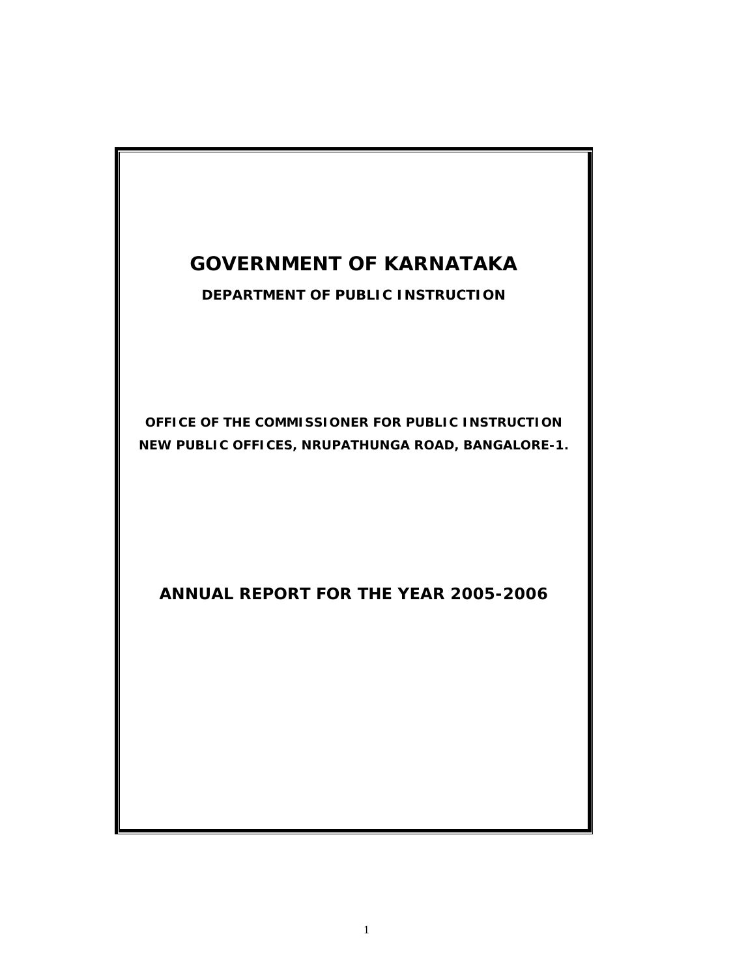# **GOVERNMENT OF KARNATAKA**

**DEPARTMENT OF PUBLIC INSTRUCTION** 

**OFFICE OF THE COMMISSIONER FOR PUBLIC INSTRUCTION NEW PUBLIC OFFICES, NRUPATHUNGA ROAD, BANGALORE-1.** 

**ANNUAL REPORT FOR THE YEAR 2005-2006**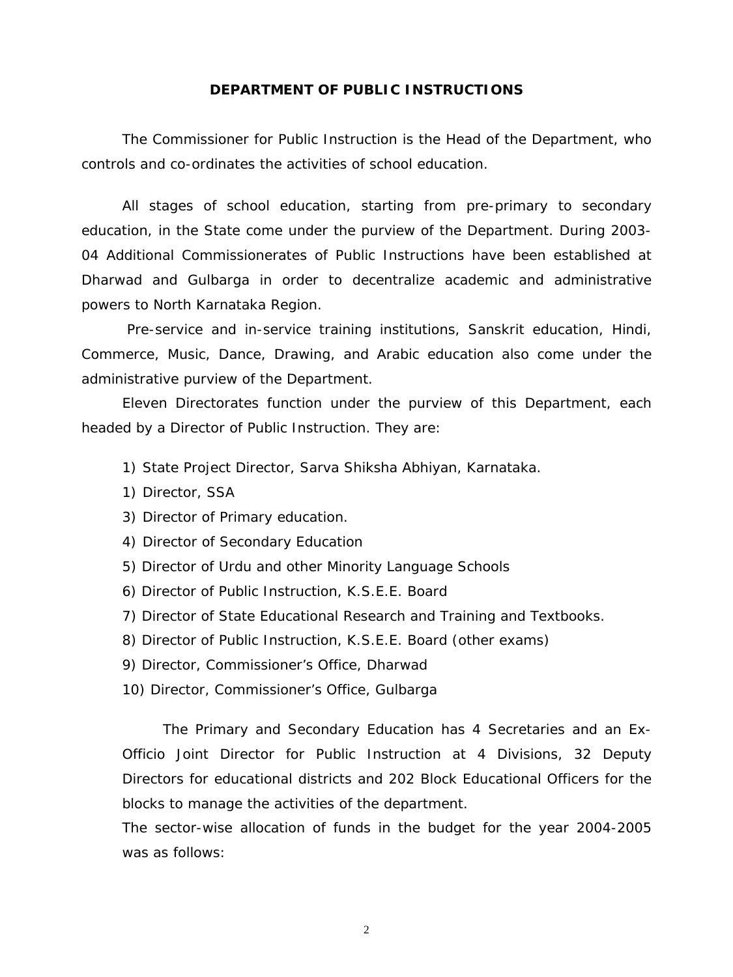### **DEPARTMENT OF PUBLIC INSTRUCTIONS**

The Commissioner for Public Instruction is the Head of the Department, who controls and co-ordinates the activities of school education.

All stages of school education, starting from pre-primary to secondary education, in the State come under the purview of the Department. During 2003- 04 Additional Commissionerates of Public Instructions have been established at Dharwad and Gulbarga in order to decentralize academic and administrative powers to North Karnataka Region.

 Pre-service and in-service training institutions, Sanskrit education, Hindi, Commerce, Music, Dance, Drawing, and Arabic education also come under the administrative purview of the Department.

Eleven Directorates function under the purview of this Department, each headed by a Director of Public Instruction. They are:

- 1) State Project Director, Sarva Shiksha Abhiyan, Karnataka.
- 1) Director, SSA
- 3) Director of Primary education.
- 4) Director of Secondary Education
- 5) Director of Urdu and other Minority Language Schools
- 6) Director of Public Instruction, K.S.E.E. Board
- 7) Director of State Educational Research and Training and Textbooks.
- 8) Director of Public Instruction, K.S.E.E. Board (other exams)
- 9) Director, Commissioner's Office, Dharwad
- 10) Director, Commissioner's Office, Gulbarga

The Primary and Secondary Education has 4 Secretaries and an Ex-Officio Joint Director for Public Instruction at 4 Divisions, 32 Deputy Directors for educational districts and 202 Block Educational Officers for the blocks to manage the activities of the department.

The sector-wise allocation of funds in the budget for the year 2004-2005 was as follows: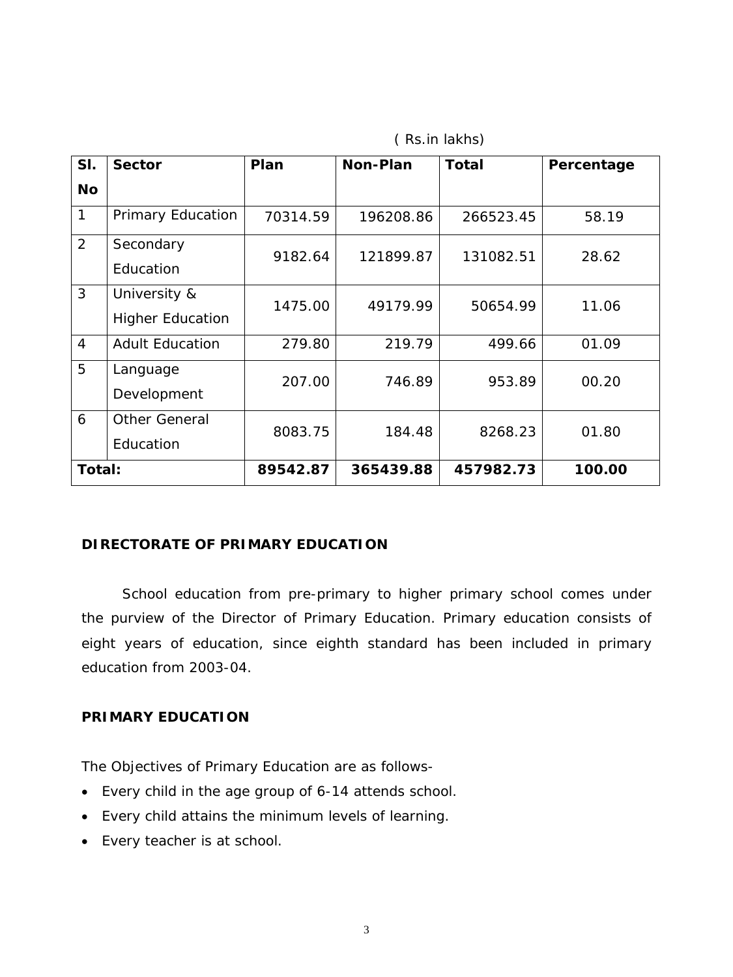| SI.            | <b>Sector</b>                           | Plan     | <b>Non-Plan</b> | <b>Total</b> | Percentage |
|----------------|-----------------------------------------|----------|-----------------|--------------|------------|
| <b>No</b>      |                                         |          |                 |              |            |
| $\mathbf{1}$   | <b>Primary Education</b>                | 70314.59 | 196208.86       | 266523.45    | 58.19      |
| 2              | Secondary<br>Education                  | 9182.64  | 121899.87       | 131082.51    | 28.62      |
| 3              | University &<br><b>Higher Education</b> | 1475.00  | 49179.99        | 50654.99     | 11.06      |
| $\overline{4}$ | <b>Adult Education</b>                  | 279.80   | 219.79          | 499.66       | 01.09      |
| 5              | Language<br>Development                 | 207.00   | 746.89          | 953.89       | 00.20      |
| 6              | Other General<br>Education              | 8083.75  | 184.48          | 8268.23      | 01.80      |
| Total:         |                                         | 89542.87 | 365439.88       | 457982.73    | 100.00     |

( Rs.in lakhs)

## **DIRECTORATE OF PRIMARY EDUCATION**

 School education from pre-primary to higher primary school comes under the purview of the Director of Primary Education. Primary education consists of eight years of education, since eighth standard has been included in primary education from 2003-04.

## **PRIMARY EDUCATION**

The Objectives of Primary Education are as follows-

- Every child in the age group of 6-14 attends school.
- Every child attains the minimum levels of learning.
- Every teacher is at school.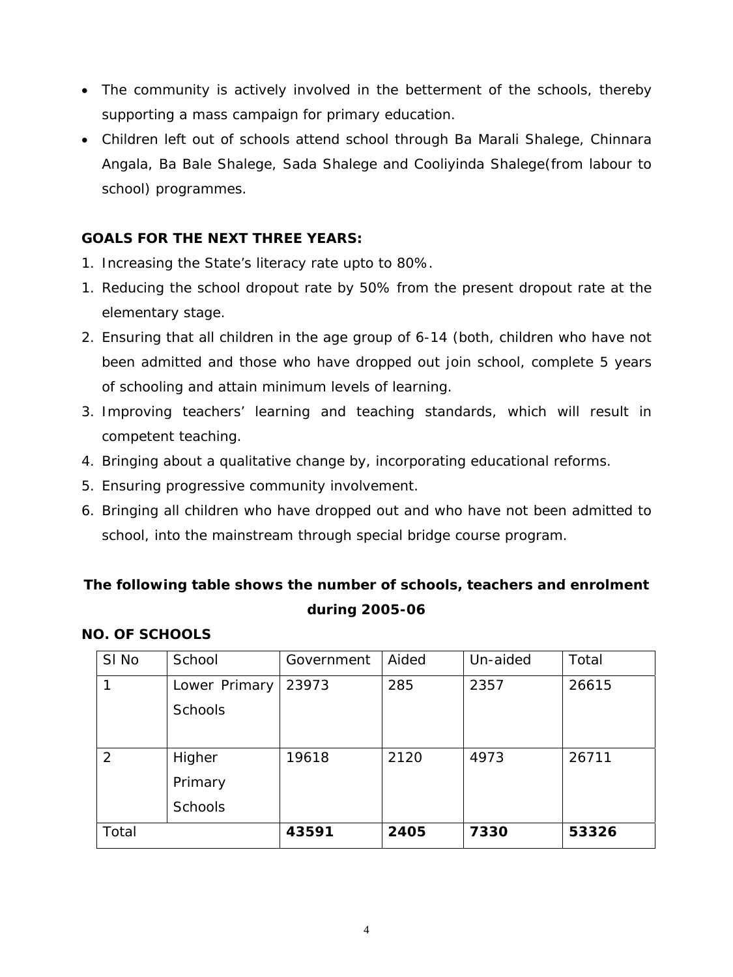- The community is actively involved in the betterment of the schools, thereby supporting a mass campaign for primary education.
- Children left out of schools attend school through Ba Marali Shalege, Chinnara Angala, Ba Bale Shalege, Sada Shalege and Cooliyinda Shalege(from labour to school) programmes.

## **GOALS FOR THE NEXT THREE YEARS:**

- 1. Increasing the State's literacy rate upto to 80%.
- 1. Reducing the school dropout rate by 50% from the present dropout rate at the elementary stage.
- 2. Ensuring that all children in the age group of 6-14 (both, children who have not been admitted and those who have dropped out join school, complete 5 years of schooling and attain minimum levels of learning.
- 3. Improving teachers' learning and teaching standards, which will result in competent teaching.
- 4. Bringing about a qualitative change by, incorporating educational reforms.
- 5. Ensuring progressive community involvement.
- 6. Bringing all children who have dropped out and who have not been admitted to school, into the mainstream through special bridge course program.

# **The following table shows the number of schools, teachers and enrolment during 2005-06**

## **NO. OF SCHOOLS**

| SI No | School         | Government | Aided | Un-aided | Total |
|-------|----------------|------------|-------|----------|-------|
|       | Lower Primary  | 23973      | 285   | 2357     | 26615 |
|       | <b>Schools</b> |            |       |          |       |
|       |                |            |       |          |       |
| 2     | Higher         | 19618      | 2120  | 4973     | 26711 |
|       | Primary        |            |       |          |       |
|       | <b>Schools</b> |            |       |          |       |
| Total |                | 43591      | 2405  | 7330     | 53326 |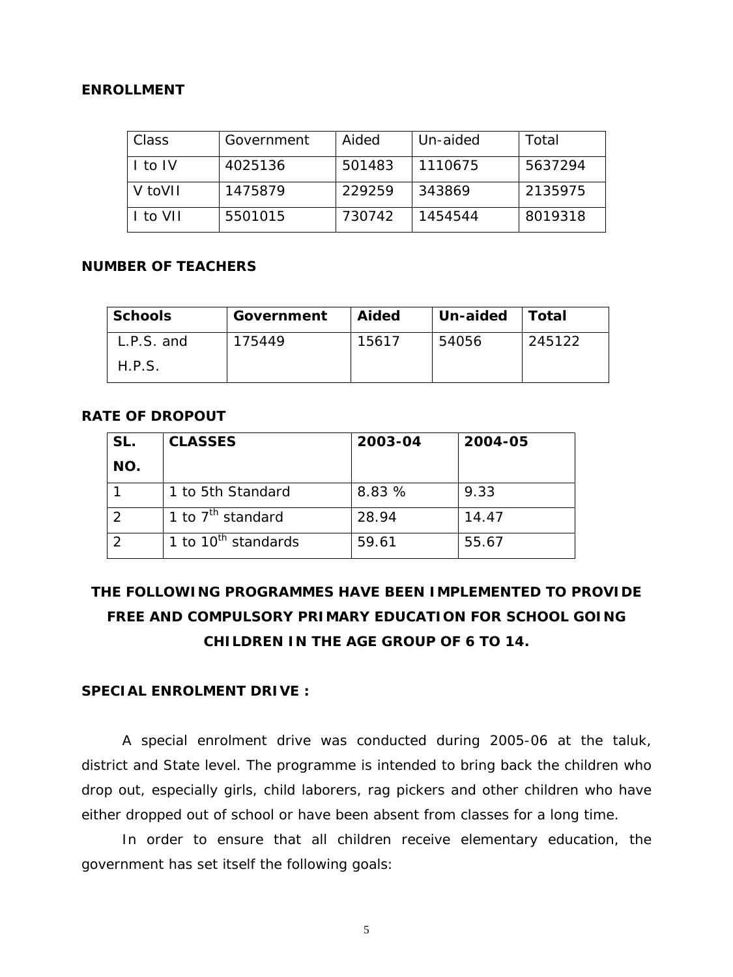### **ENROLLMENT**

| Class   | Government | Aided  | Un-aided | Total   |
|---------|------------|--------|----------|---------|
| I to IV | 4025136    | 501483 | 1110675  | 5637294 |
| V toVII | 1475879    | 229259 | 343869   | 2135975 |
| to VII  | 5501015    | 730742 | 1454544  | 8019318 |

#### **NUMBER OF TEACHERS**

| <b>Schools</b> | Government | Aided | Un-aided | ∣ Total |
|----------------|------------|-------|----------|---------|
| $L.P.S.$ and   | 175449     | 15617 | 54056    | 245122  |
| H.P.S.         |            |       |          |         |

## **RATE OF DROPOUT**

| SL. | <b>CLASSES</b>                               | 2003-04 | 2004-05 |
|-----|----------------------------------------------|---------|---------|
| NO. |                                              |         |         |
|     | 1 to 5th Standard                            | 8.83 %  | 9.33    |
|     | $\overline{1}$ to $7^{\text{th}}$ standard   | 28.94   | 14.47   |
|     | $\overline{1}$ to 10 <sup>th</sup> standards | 59.61   | 55.67   |

# **THE FOLLOWING PROGRAMMES HAVE BEEN IMPLEMENTED TO PROVIDE FREE AND COMPULSORY PRIMARY EDUCATION FOR SCHOOL GOING CHILDREN IN THE AGE GROUP OF 6 TO 14.**

### **SPECIAL ENROLMENT DRIVE :**

 A special enrolment drive was conducted during 2005-06 at the taluk, district and State level. The programme is intended to bring back the children who drop out, especially girls, child laborers, rag pickers and other children who have either dropped out of school or have been absent from classes for a long time.

 In order to ensure that all children receive elementary education, the government has set itself the following goals: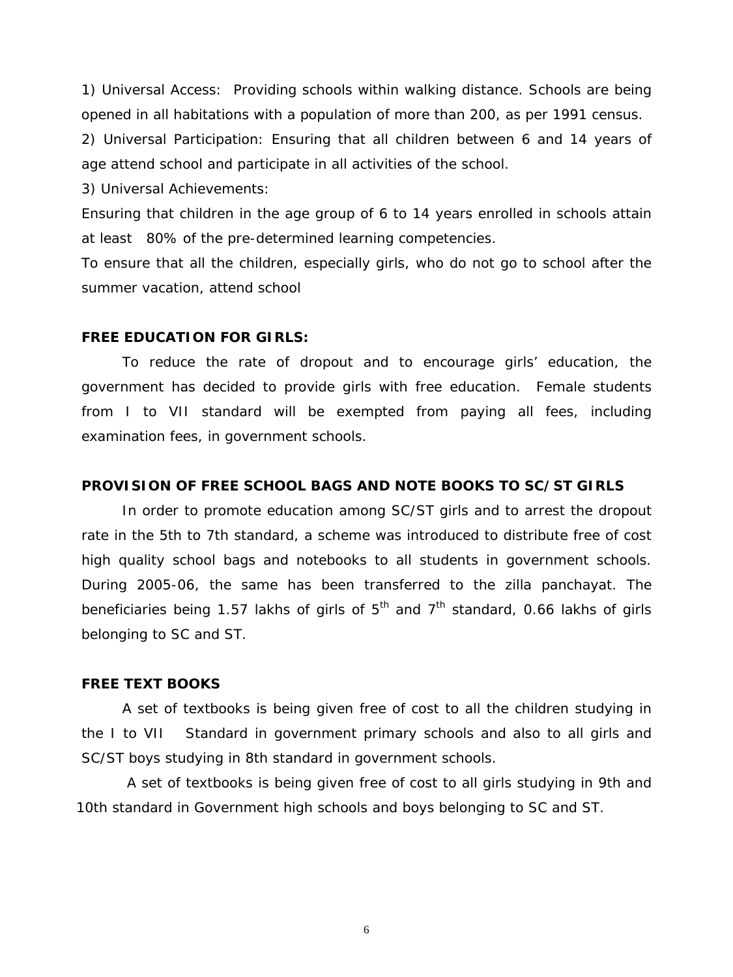1) Universal Access: Providing schools within walking distance. Schools are being opened in all habitations with a population of more than 200, as per 1991 census.

2) Universal Participation: Ensuring that all children between 6 and 14 years of age attend school and participate in all activities of the school.

3) Universal Achievements:

Ensuring that children in the age group of 6 to 14 years enrolled in schools attain at least 80% of the pre-determined learning competencies.

To ensure that all the children, especially girls, who do not go to school after the summer vacation, attend school

#### **FREE EDUCATION FOR GIRLS:**

 To reduce the rate of dropout and to encourage girls' education, the government has decided to provide girls with free education. Female students from I to VII standard will be exempted from paying all fees, including examination fees, in government schools.

#### **PROVISION OF FREE SCHOOL BAGS AND NOTE BOOKS TO SC/ST GIRLS**

In order to promote education among SC/ST girls and to arrest the dropout rate in the 5th to 7th standard, a scheme was introduced to distribute free of cost high quality school bags and notebooks to all students in government schools. During 2005-06, the same has been transferred to the zilla panchayat. The beneficiaries being 1.57 lakhs of girls of  $5<sup>th</sup>$  and  $7<sup>th</sup>$  standard, 0.66 lakhs of girls belonging to SC and ST.

#### **FREE TEXT BOOKS**

A set of textbooks is being given free of cost to all the children studying in the I to VII Standard in government primary schools and also to all girls and SC/ST boys studying in 8th standard in government schools.

 A set of textbooks is being given free of cost to all girls studying in 9th and 10th standard in Government high schools and boys belonging to SC and ST.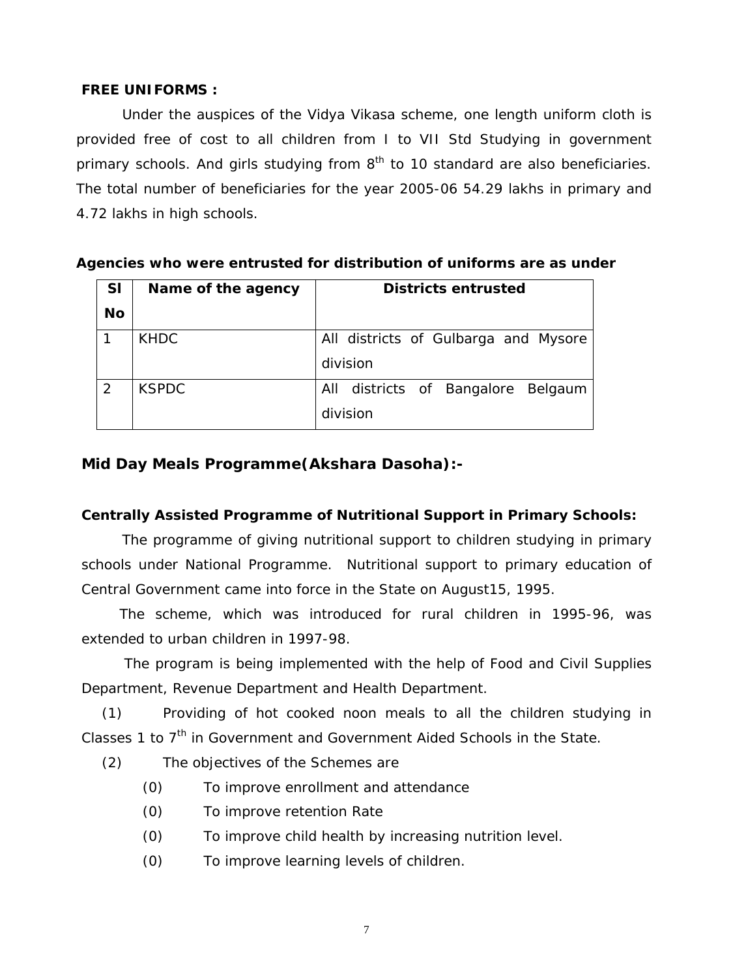## **FREE UNIFORMS :**

Under the auspices of the Vidya Vikasa scheme, one length uniform cloth is provided free of cost to all children from I to VII Std Studying in government primary schools. And girls studying from  $8<sup>th</sup>$  to 10 standard are also beneficiaries. The total number of beneficiaries for the year 2005-06 54.29 lakhs in primary and 4.72 lakhs in high schools.

| <b>SI</b>      | Name of the agency | <b>Districts entrusted</b>           |  |
|----------------|--------------------|--------------------------------------|--|
| <b>No</b>      |                    |                                      |  |
|                | <b>KHDC</b>        | All districts of Gulbarga and Mysore |  |
|                |                    | division                             |  |
| $\overline{2}$ | <b>KSPDC</b>       | All districts of Bangalore Belgaum   |  |
|                |                    | division                             |  |

## **Agencies who were entrusted for distribution of uniforms are as under**

## **Mid Day Meals Programme(Akshara Dasoha):-**

## **Centrally Assisted Programme of Nutritional Support in Primary Schools:**

The programme of giving nutritional support to children studying in primary schools under National Programme. Nutritional support to primary education of Central Government came into force in the State on August15, 1995.

 The scheme, which was introduced for rural children in 1995-96, was extended to urban children in 1997-98.

 The program is being implemented with the help of Food and Civil Supplies Department, Revenue Department and Health Department.

(1) Providing of hot cooked noon meals to all the children studying in Classes 1 to  $7<sup>th</sup>$  in Government and Government Aided Schools in the State.

- (2) The objectives of the Schemes are
	- (0) To improve enrollment and attendance
	- (0) To improve retention Rate
	- (0) To improve child health by increasing nutrition level.
	- (0) To improve learning levels of children.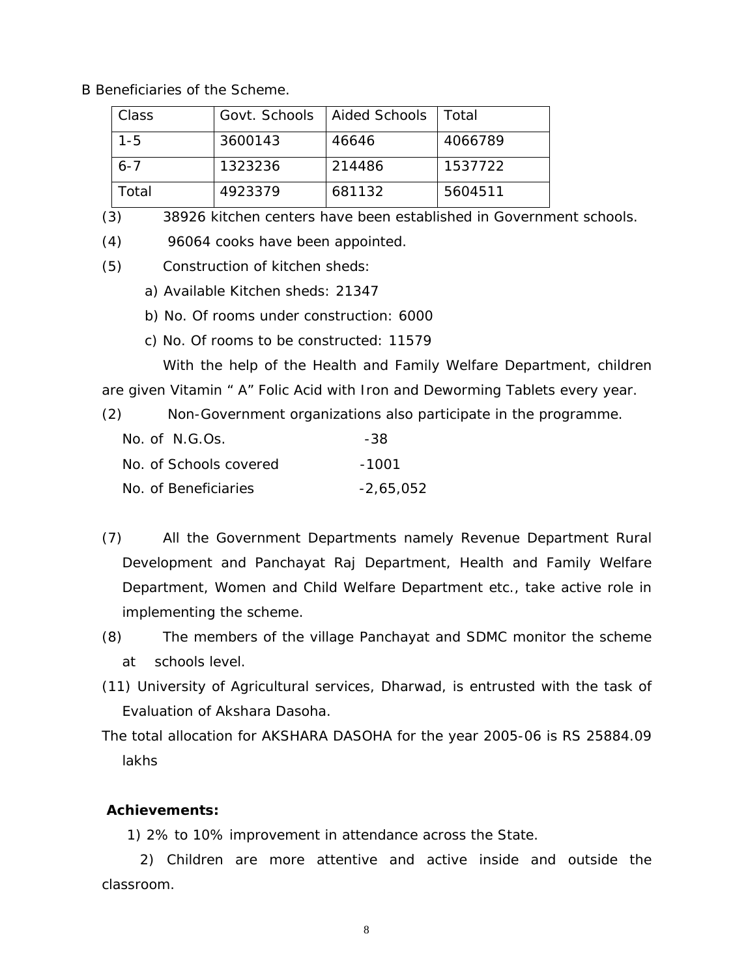B Beneficiaries of the Scheme.

| Class   | Govt. Schools   Aided Schools |        | Total   |
|---------|-------------------------------|--------|---------|
| $1 - 5$ | 3600143                       | 46646  | 4066789 |
| $6 - 7$ | 1323236                       | 214486 | 1537722 |
| Total   | 4923379                       | 681132 | 5604511 |

(3) 38926 kitchen centers have been established in Government schools.

(4) 96064 cooks have been appointed.

- (5) Construction of kitchen sheds:
	- a) Available Kitchen sheds: 21347
	- b) No. Of rooms under construction: 6000
	- c) No. Of rooms to be constructed: 11579

 With the help of the Health and Family Welfare Department, children are given Vitamin " A" Folic Acid with Iron and Deworming Tablets every year.

(2) Non-Government organizations also participate in the programme.

| No. of N.G.Os.         | -38         |
|------------------------|-------------|
| No. of Schools covered | $-1001$     |
| No. of Beneficiaries   | $-2,65,052$ |

- (7) All the Government Departments namely Revenue Department Rural Development and Panchayat Raj Department, Health and Family Welfare Department, Women and Child Welfare Department etc., take active role in implementing the scheme.
- (8) The members of the village Panchayat and SDMC monitor the scheme at schools level.
- (11) University of Agricultural services, Dharwad, is entrusted with the task of Evaluation of Akshara Dasoha.
- The total allocation for AKSHARA DASOHA for the year 2005-06 is RS 25884.09 lakhs

### **Achievements:**

1) 2% to 10% improvement in attendance across the State.

 2) Children are more attentive and active inside and outside the classroom.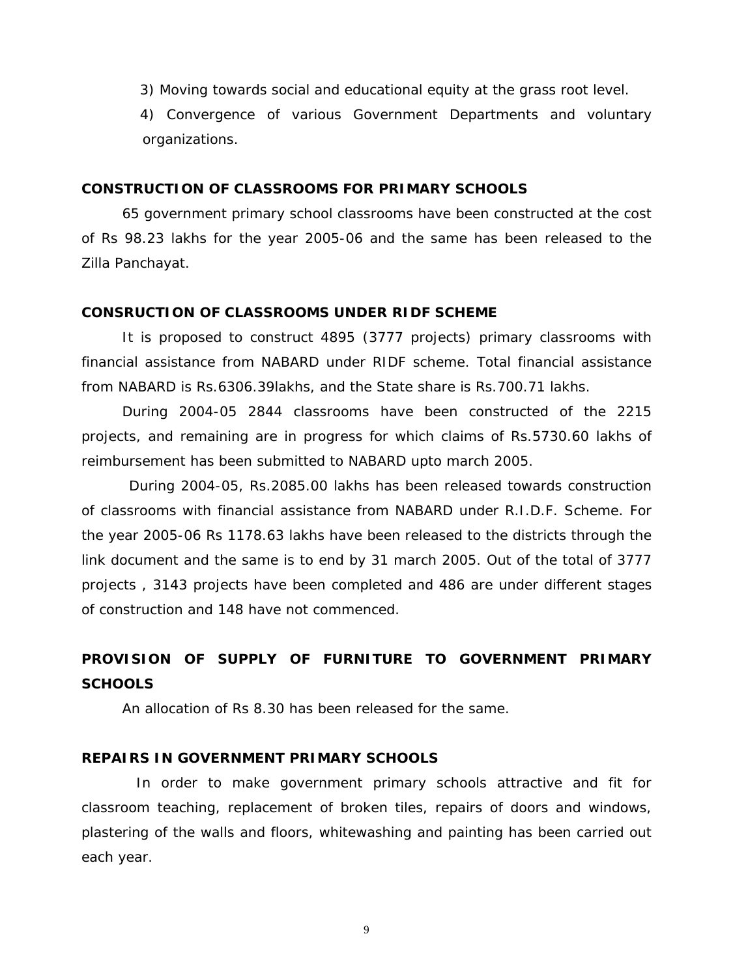3) Moving towards social and educational equity at the grass root level.

 4) Convergence of various Government Departments and voluntary organizations.

#### **CONSTRUCTION OF CLASSROOMS FOR PRIMARY SCHOOLS**

65 government primary school classrooms have been constructed at the cost of Rs 98.23 lakhs for the year 2005-06 and the same has been released to the Zilla Panchayat.

### **CONSRUCTION OF CLASSROOMS UNDER RIDF SCHEME**

It is proposed to construct 4895 (3777 projects) primary classrooms with financial assistance from NABARD under RIDF scheme. Total financial assistance from NABARD is Rs.6306.39lakhs, and the State share is Rs.700.71 lakhs.

During 2004-05 2844 classrooms have been constructed of the 2215 projects, and remaining are in progress for which claims of Rs.5730.60 lakhs of reimbursement has been submitted to NABARD upto march 2005.

 During 2004-05, Rs.2085.00 lakhs has been released towards construction of classrooms with financial assistance from NABARD under R.I.D.F. Scheme. For the year 2005-06 Rs 1178.63 lakhs have been released to the districts through the link document and the same is to end by 31 march 2005. Out of the total of 3777 projects , 3143 projects have been completed and 486 are under different stages of construction and 148 have not commenced.

# **PROVISION OF SUPPLY OF FURNITURE TO GOVERNMENT PRIMARY SCHOOLS**

An allocation of Rs 8.30 has been released for the same.

#### **REPAIRS IN GOVERNMENT PRIMARY SCHOOLS**

 In order to make government primary schools attractive and fit for classroom teaching, replacement of broken tiles, repairs of doors and windows, plastering of the walls and floors, whitewashing and painting has been carried out each year.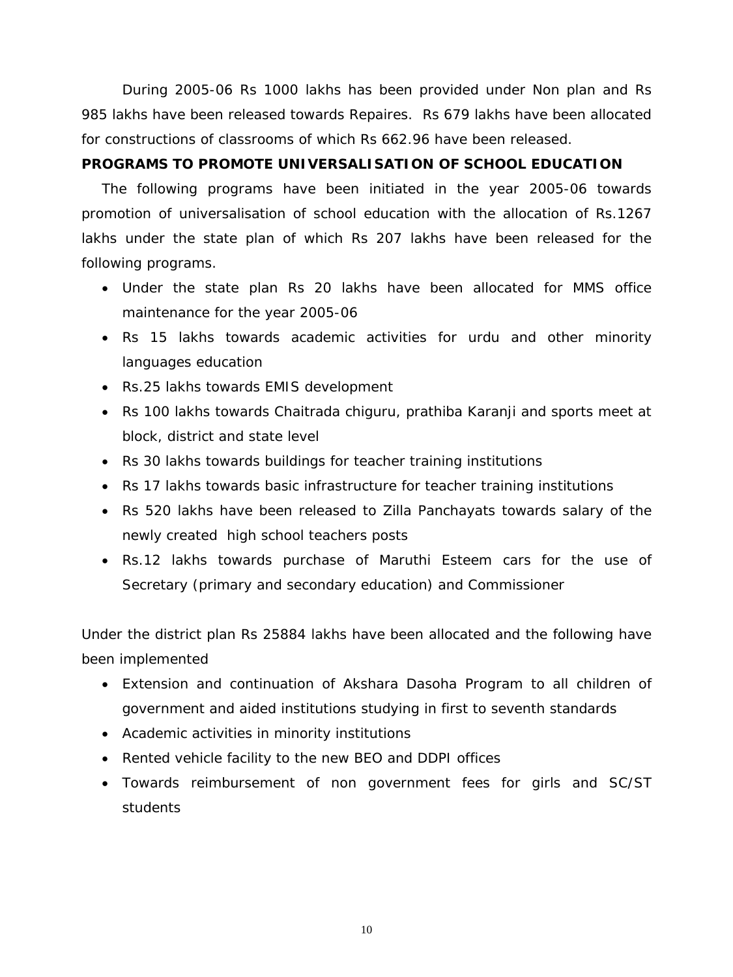During 2005-06 Rs 1000 lakhs has been provided under Non plan and Rs 985 lakhs have been released towards Repaires. Rs 679 lakhs have been allocated for constructions of classrooms of which Rs 662.96 have been released.

## **PROGRAMS TO PROMOTE UNIVERSALISATION OF SCHOOL EDUCATION**

The following programs have been initiated in the year 2005-06 towards promotion of universalisation of school education with the allocation of Rs.1267 lakhs under the state plan of which Rs 207 lakhs have been released for the following programs.

- Under the state plan Rs 20 lakhs have been allocated for MMS office maintenance for the year 2005-06
- Rs 15 lakhs towards academic activities for urdu and other minority languages education
- Rs.25 lakhs towards EMIS development
- Rs 100 lakhs towards Chaitrada chiguru, prathiba Karanji and sports meet at block, district and state level
- Rs 30 lakhs towards buildings for teacher training institutions
- Rs 17 lakhs towards basic infrastructure for teacher training institutions
- Rs 520 lakhs have been released to Zilla Panchayats towards salary of the newly created high school teachers posts
- Rs.12 lakhs towards purchase of Maruthi Esteem cars for the use of Secretary (primary and secondary education) and Commissioner

Under the district plan Rs 25884 lakhs have been allocated and the following have been implemented

- Extension and continuation of Akshara Dasoha Program to all children of government and aided institutions studying in first to seventh standards
- Academic activities in minority institutions
- Rented vehicle facility to the new BEO and DDPI offices
- Towards reimbursement of non government fees for girls and SC/ST students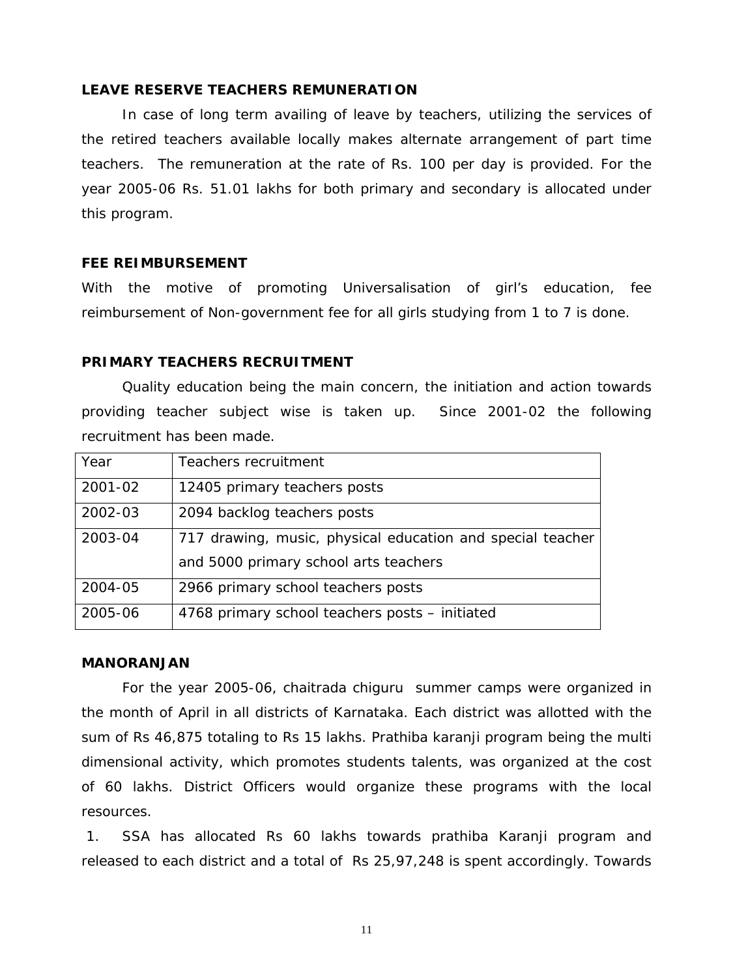### **LEAVE RESERVE TEACHERS REMUNERATION**

In case of long term availing of leave by teachers, utilizing the services of the retired teachers available locally makes alternate arrangement of part time teachers. The remuneration at the rate of Rs. 100 per day is provided. For the year 2005-06 Rs. 51.01 lakhs for both primary and secondary is allocated under this program.

#### **FEE REIMBURSEMENT**

With the motive of promoting Universalisation of girl's education, fee reimbursement of Non-government fee for all girls studying from 1 to 7 is done.

#### **PRIMARY TEACHERS RECRUITMENT**

Quality education being the main concern, the initiation and action towards providing teacher subject wise is taken up. Since 2001-02 the following recruitment has been made.

| Year    | Teachers recruitment                                       |
|---------|------------------------------------------------------------|
| 2001-02 | 12405 primary teachers posts                               |
| 2002-03 | 2094 backlog teachers posts                                |
| 2003-04 | 717 drawing, music, physical education and special teacher |
|         | and 5000 primary school arts teachers                      |
| 2004-05 | 2966 primary school teachers posts                         |
| 2005-06 | 4768 primary school teachers posts - initiated             |

#### **MANORANJAN**

 For the year 2005-06, chaitrada chiguru summer camps were organized in the month of April in all districts of Karnataka. Each district was allotted with the sum of Rs 46,875 totaling to Rs 15 lakhs. Prathiba karanji program being the multi dimensional activity, which promotes students talents, was organized at the cost of 60 lakhs. District Officers would organize these programs with the local resources.

 1. SSA has allocated Rs 60 lakhs towards prathiba Karanji program and released to each district and a total of Rs 25,97,248 is spent accordingly. Towards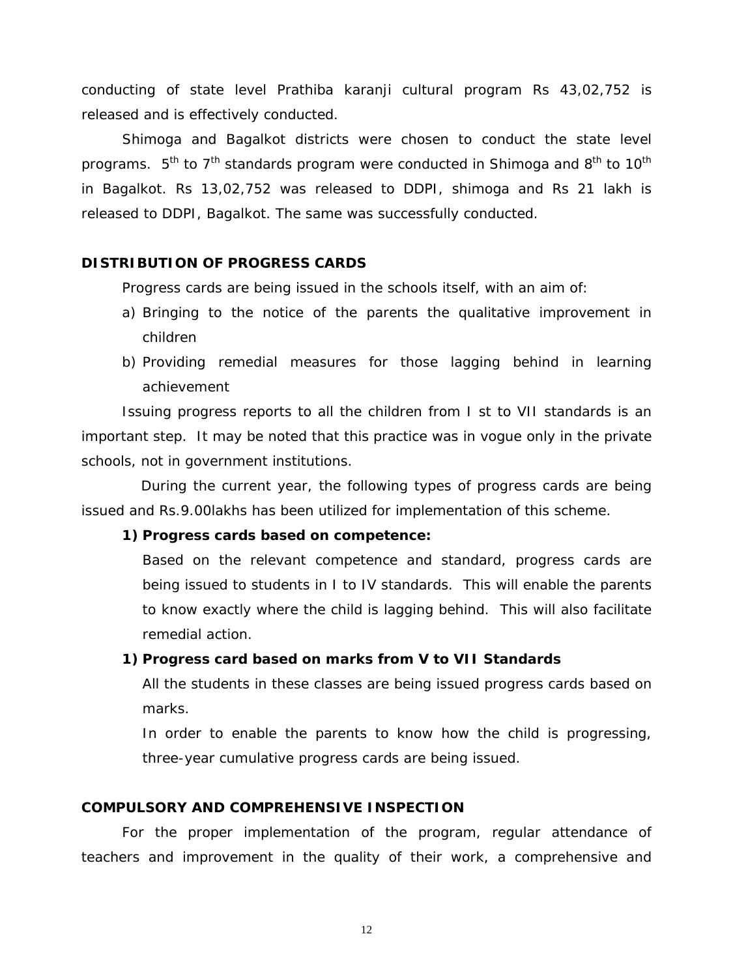conducting of state level Prathiba karanji cultural program Rs 43,02,752 is released and is effectively conducted.

 Shimoga and Bagalkot districts were chosen to conduct the state level programs.  $5^{th}$  to  $7^{th}$  standards program were conducted in Shimoga and  $8^{th}$  to 10<sup>th</sup> in Bagalkot. Rs 13,02,752 was released to DDPI, shimoga and Rs 21 lakh is released to DDPI, Bagalkot. The same was successfully conducted.

## **DISTRIBUTION OF PROGRESS CARDS**

Progress cards are being issued in the schools itself, with an aim of:

- a) Bringing to the notice of the parents the qualitative improvement in children
- b) Providing remedial measures for those lagging behind in learning achievement

Issuing progress reports to all the children from I st to VII standards is an important step. It may be noted that this practice was in vogue only in the private schools, not in government institutions.

 During the current year, the following types of progress cards are being issued and Rs.9.00lakhs has been utilized for implementation of this scheme.

### **1) Progress cards based on competence:**

Based on the relevant competence and standard, progress cards are being issued to students in I to IV standards. This will enable the parents to know exactly where the child is lagging behind. This will also facilitate remedial action.

### **1) Progress card based on marks from V to VII Standards**

All the students in these classes are being issued progress cards based on marks.

In order to enable the parents to know how the child is progressing, three-year cumulative progress cards are being issued.

## **COMPULSORY AND COMPREHENSIVE INSPECTION**

For the proper implementation of the program, regular attendance of teachers and improvement in the quality of their work, a comprehensive and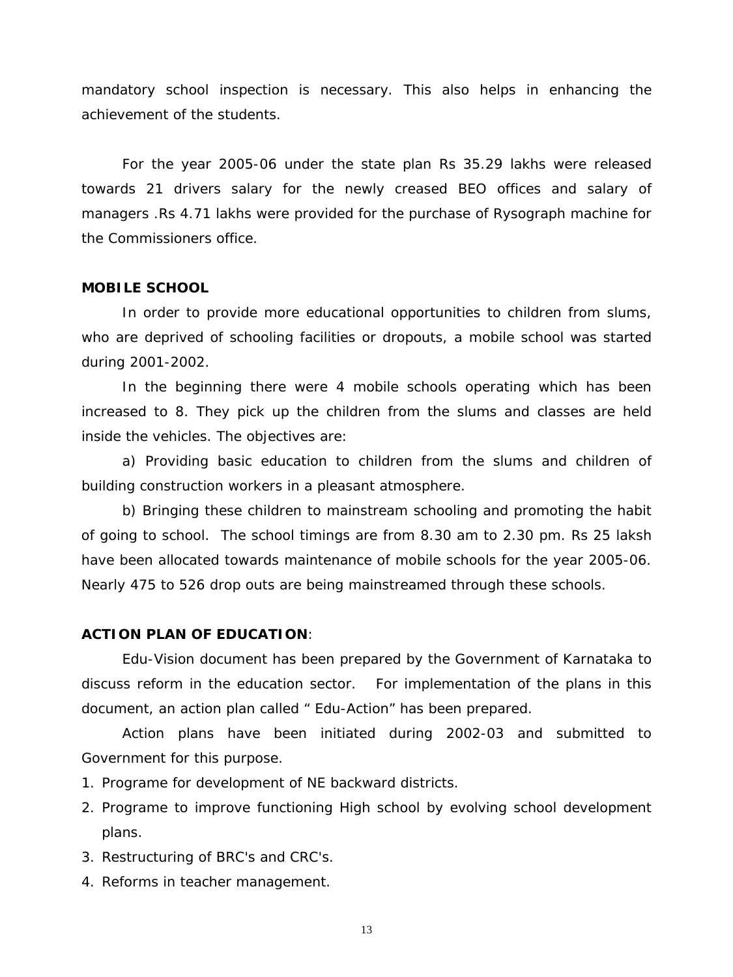mandatory school inspection is necessary. This also helps in enhancing the achievement of the students.

For the year 2005-06 under the state plan Rs 35.29 lakhs were released towards 21 drivers salary for the newly creased BEO offices and salary of managers .Rs 4.71 lakhs were provided for the purchase of Rysograph machine for the Commissioners office.

#### **MOBILE SCHOOL**

 In order to provide more educational opportunities to children from slums, who are deprived of schooling facilities or dropouts, a mobile school was started during 2001-2002.

 In the beginning there were 4 mobile schools operating which has been increased to 8. They pick up the children from the slums and classes are held inside the vehicles. The objectives are:

 a) Providing basic education to children from the slums and children of building construction workers in a pleasant atmosphere.

 b) Bringing these children to mainstream schooling and promoting the habit of going to school. The school timings are from 8.30 am to 2.30 pm. Rs 25 laksh have been allocated towards maintenance of mobile schools for the year 2005-06. Nearly 475 to 526 drop outs are being mainstreamed through these schools.

#### **ACTION PLAN OF EDUCATION**:

Edu-Vision document has been prepared by the Government of Karnataka to discuss reform in the education sector. For implementation of the plans in this document, an action plan called " Edu-Action" has been prepared.

 Action plans have been initiated during 2002-03 and submitted to Government for this purpose.

- 1. Programe for development of NE backward districts.
- 2. Programe to improve functioning High school by evolving school development plans.
- 3. Restructuring of BRC's and CRC's.
- 4. Reforms in teacher management.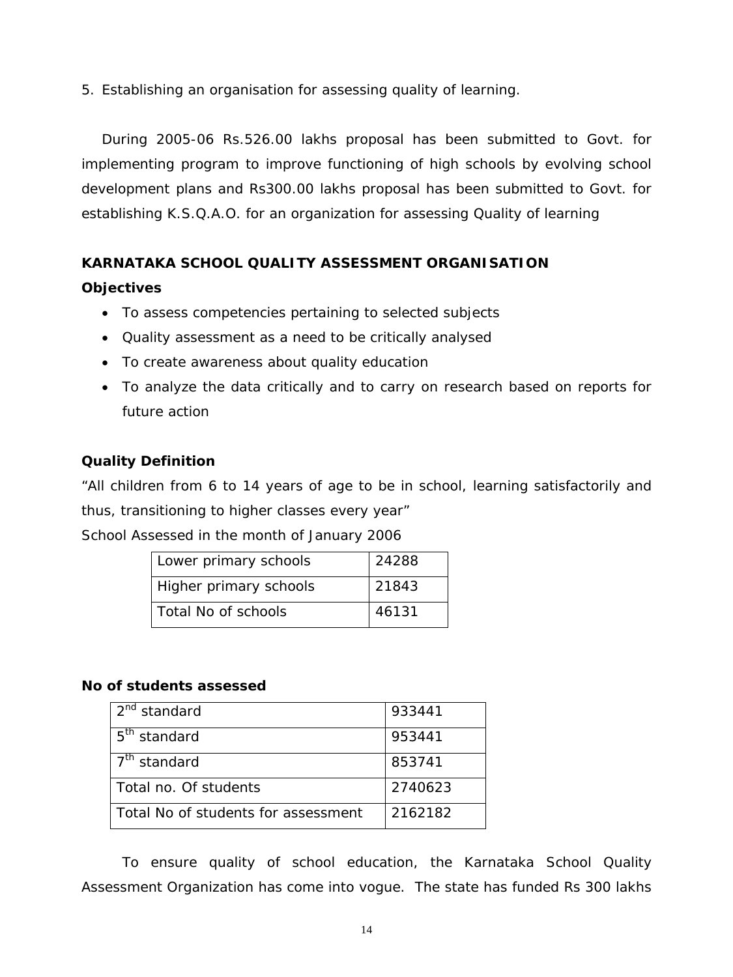5. Establishing an organisation for assessing quality of learning.

During 2005-06 Rs.526.00 lakhs proposal has been submitted to Govt. for implementing program to improve functioning of high schools by evolving school development plans and Rs300.00 lakhs proposal has been submitted to Govt. for establishing K.S.Q.A.O. for an organization for assessing Quality of learning

## **KARNATAKA SCHOOL QUALITY ASSESSMENT ORGANISATION**

## **Objectives**

- To assess competencies pertaining to selected subjects
- Quality assessment as a need to be critically analysed
- To create awareness about quality education
- To analyze the data critically and to carry on research based on reports for future action

## **Quality Definition**

"All children from 6 to 14 years of age to be in school, learning satisfactorily and thus, transitioning to higher classes every year"

School Assessed in the month of January 2006

| Lower primary schools  | 24288 |
|------------------------|-------|
| Higher primary schools | 21843 |
| Total No of schools    | 46131 |

## **No of students assessed**

| 2 <sup>nd</sup> standard            | 933441  |
|-------------------------------------|---------|
| 5 <sup>th</sup> standard            | 953441  |
| 7 <sup>th</sup> standard            | 853741  |
| Total no. Of students               | 2740623 |
| Total No of students for assessment | 2162182 |

To ensure quality of school education, the Karnataka School Quality Assessment Organization has come into vogue. The state has funded Rs 300 lakhs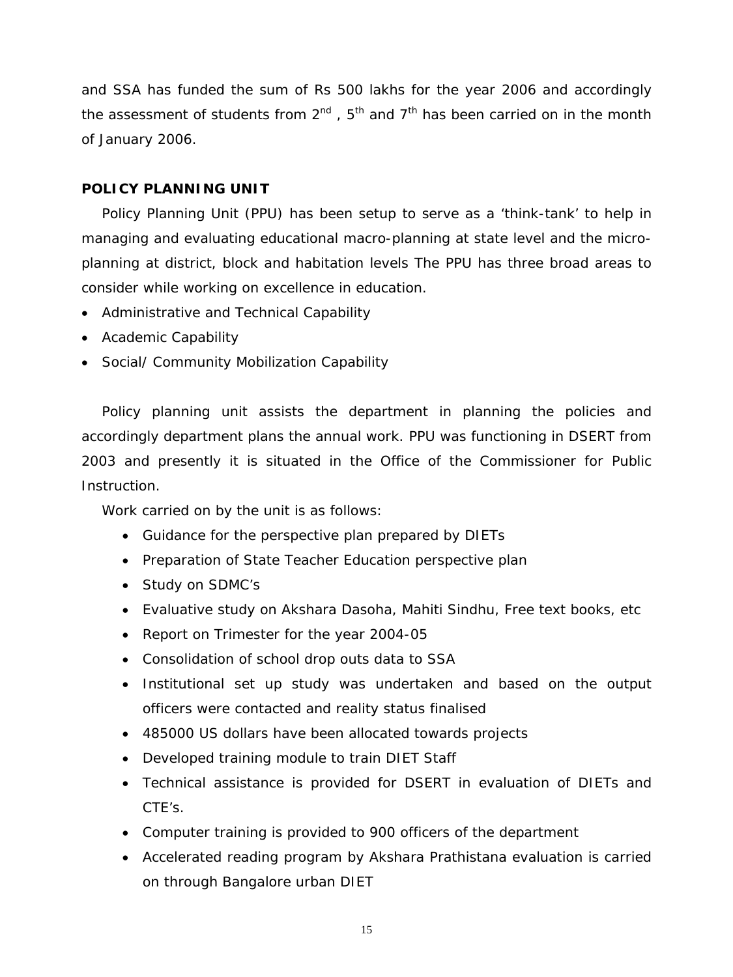and SSA has funded the sum of Rs 500 lakhs for the year 2006 and accordingly the assessment of students from  $2^{nd}$ ,  $5^{th}$  and  $7^{th}$  has been carried on in the month of January 2006.

## **POLICY PLANNING UNIT**

Policy Planning Unit (PPU) has been setup to serve as a 'think-tank' to help in managing and evaluating educational macro-planning at state level and the microplanning at district, block and habitation levels The PPU has three broad areas to consider while working on excellence in education.

- Administrative and Technical Capability
- Academic Capability
- Social/ Community Mobilization Capability

Policy planning unit assists the department in planning the policies and accordingly department plans the annual work. PPU was functioning in DSERT from 2003 and presently it is situated in the Office of the Commissioner for Public Instruction.

Work carried on by the unit is as follows:

- Guidance for the perspective plan prepared by DIETs
- Preparation of State Teacher Education perspective plan
- Study on SDMC's
- Evaluative study on Akshara Dasoha, Mahiti Sindhu, Free text books, etc
- Report on Trimester for the year 2004-05
- Consolidation of school drop outs data to SSA
- Institutional set up study was undertaken and based on the output officers were contacted and reality status finalised
- 485000 US dollars have been allocated towards projects
- Developed training module to train DIET Staff
- Technical assistance is provided for DSERT in evaluation of DIETs and CTE's.
- Computer training is provided to 900 officers of the department
- Accelerated reading program by Akshara Prathistana evaluation is carried on through Bangalore urban DIET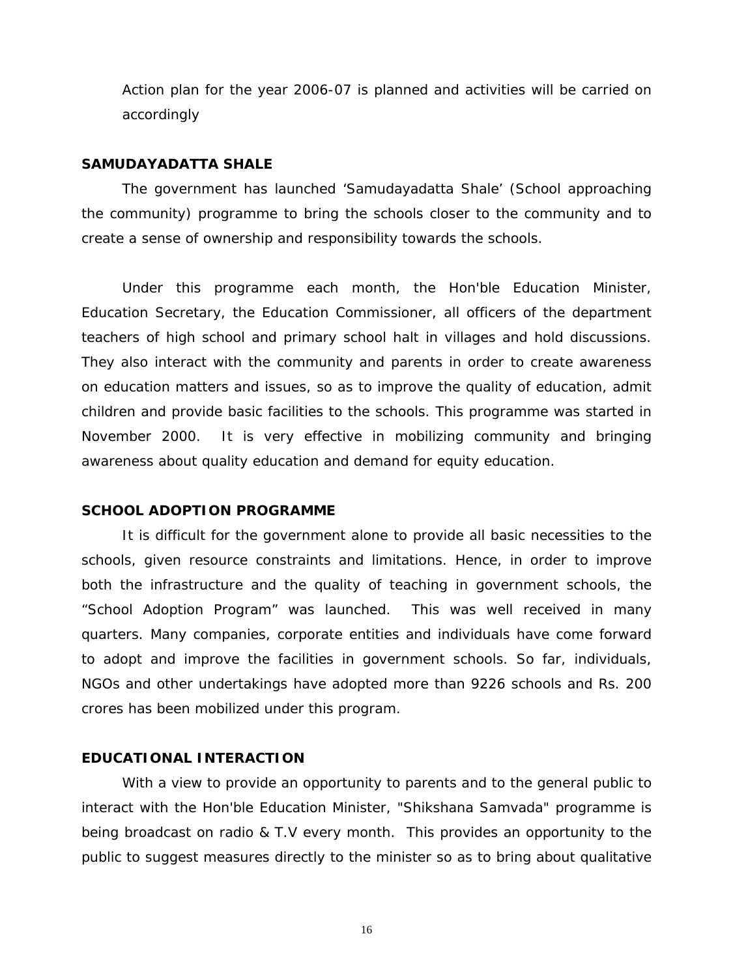Action plan for the year 2006-07 is planned and activities will be carried on accordingly

#### **SAMUDAYADATTA SHALE**

The government has launched 'Samudayadatta Shale' (School approaching the community) programme to bring the schools closer to the community and to create a sense of ownership and responsibility towards the schools.

Under this programme each month, the Hon'ble Education Minister, Education Secretary, the Education Commissioner, all officers of the department teachers of high school and primary school halt in villages and hold discussions. They also interact with the community and parents in order to create awareness on education matters and issues, so as to improve the quality of education, admit children and provide basic facilities to the schools. This programme was started in November 2000. It is very effective in mobilizing community and bringing awareness about quality education and demand for equity education.

#### **SCHOOL ADOPTION PROGRAMME**

It is difficult for the government alone to provide all basic necessities to the schools, given resource constraints and limitations. Hence, in order to improve both the infrastructure and the quality of teaching in government schools, the "School Adoption Program" was launched. This was well received in many quarters. Many companies, corporate entities and individuals have come forward to adopt and improve the facilities in government schools. So far, individuals, NGOs and other undertakings have adopted more than 9226 schools and Rs. 200 crores has been mobilized under this program.

#### **EDUCATIONAL INTERACTION**

With a view to provide an opportunity to parents and to the general public to interact with the Hon'ble Education Minister, "Shikshana Samvada" programme is being broadcast on radio & T.V every month. This provides an opportunity to the public to suggest measures directly to the minister so as to bring about qualitative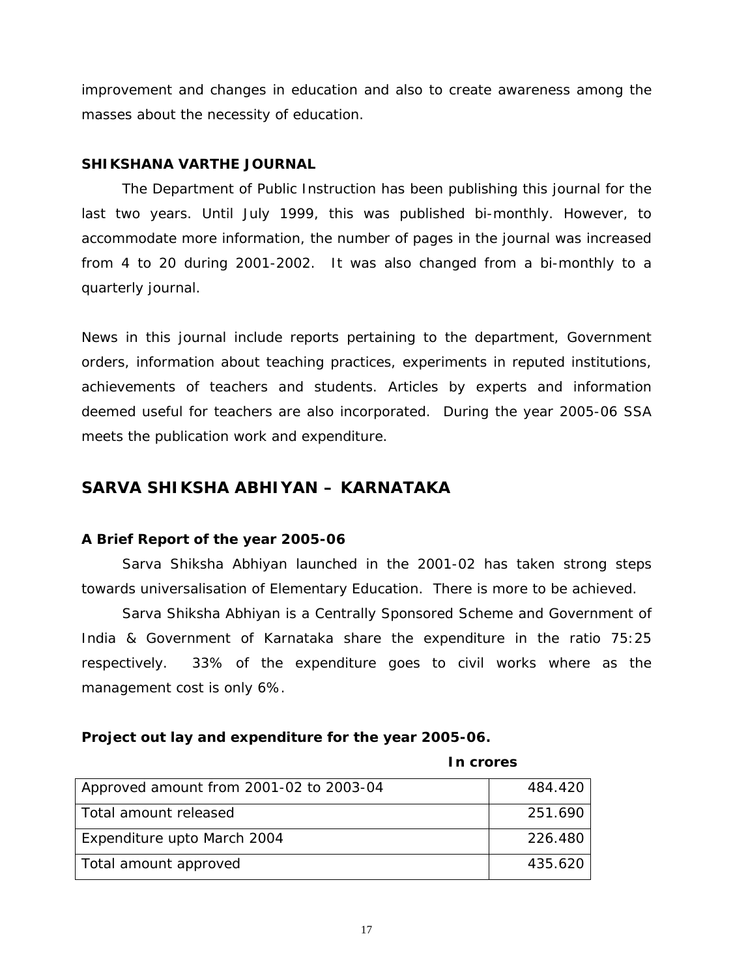improvement and changes in education and also to create awareness among the masses about the necessity of education.

### **SHIKSHANA VARTHE JOURNAL**

The Department of Public Instruction has been publishing this journal for the last two years. Until July 1999, this was published bi-monthly. However, to accommodate more information, the number of pages in the journal was increased from 4 to 20 during 2001-2002. It was also changed from a bi-monthly to a quarterly journal.

News in this journal include reports pertaining to the department, Government orders, information about teaching practices, experiments in reputed institutions, achievements of teachers and students. Articles by experts and information deemed useful for teachers are also incorporated. During the year 2005-06 SSA meets the publication work and expenditure.

## **SARVA SHIKSHA ABHIYAN – KARNATAKA**

## **A Brief Report of the year 2005-06**

Sarva Shiksha Abhiyan launched in the 2001-02 has taken strong steps towards universalisation of Elementary Education. There is more to be achieved.

Sarva Shiksha Abhiyan is a Centrally Sponsored Scheme and Government of India & Government of Karnataka share the expenditure in the ratio 75:25 respectively. 33% of the expenditure goes to civil works where as the management cost is only 6%.

## **Project out lay and expenditure for the year 2005-06.**

### **In crores**

| Approved amount from 2001-02 to 2003-04 | 484.420 |
|-----------------------------------------|---------|
| Total amount released                   | 251.690 |
| Expenditure upto March 2004             | 226.480 |
| Total amount approved                   | 435.620 |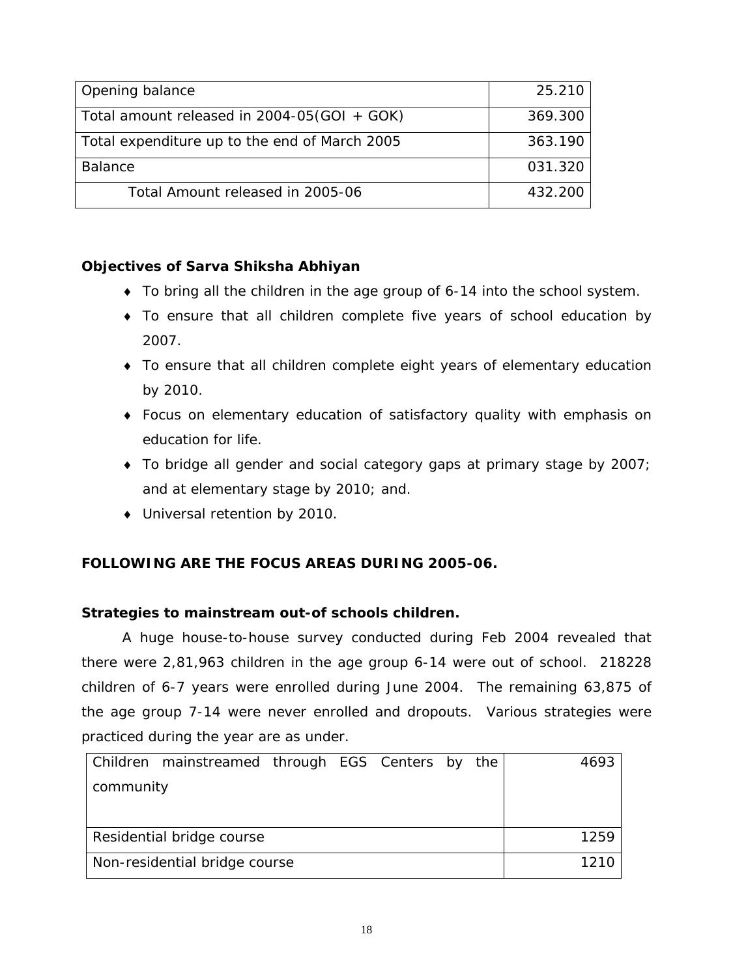| Opening balance                                 | 25.210  |
|-------------------------------------------------|---------|
| Total amount released in $2004 - 05(GOI + GOK)$ | 369.300 |
| Total expenditure up to the end of March 2005   | 363.190 |
| <b>Balance</b>                                  | 031.320 |
| Total Amount released in 2005-06                | 432.200 |

## **Objectives of Sarva Shiksha Abhiyan**

- ♦ To bring all the children in the age group of 6-14 into the school system.
- ♦ To ensure that all children complete five years of school education by 2007.
- ♦ To ensure that all children complete eight years of elementary education by 2010.
- ♦ Focus on elementary education of satisfactory quality with emphasis on education for life.
- ♦ To bridge all gender and social category gaps at primary stage by 2007; and at elementary stage by 2010; and.
- ♦ Universal retention by 2010.

## **FOLLOWING ARE THE FOCUS AREAS DURING 2005-06.**

## **Strategies to mainstream out-of schools children.**

A huge house-to-house survey conducted during Feb 2004 revealed that there were 2,81,963 children in the age group 6-14 were out of school. 218228 children of 6-7 years were enrolled during June 2004. The remaining 63,875 of the age group 7-14 were never enrolled and dropouts. Various strategies were practiced during the year are as under.

|           | Children mainstreamed through EGS Centers by the |  |  | 4693 |
|-----------|--------------------------------------------------|--|--|------|
| community |                                                  |  |  |      |
|           |                                                  |  |  |      |
|           | Residential bridge course                        |  |  | 1259 |
|           |                                                  |  |  |      |
|           | Non-residential bridge course                    |  |  | 1210 |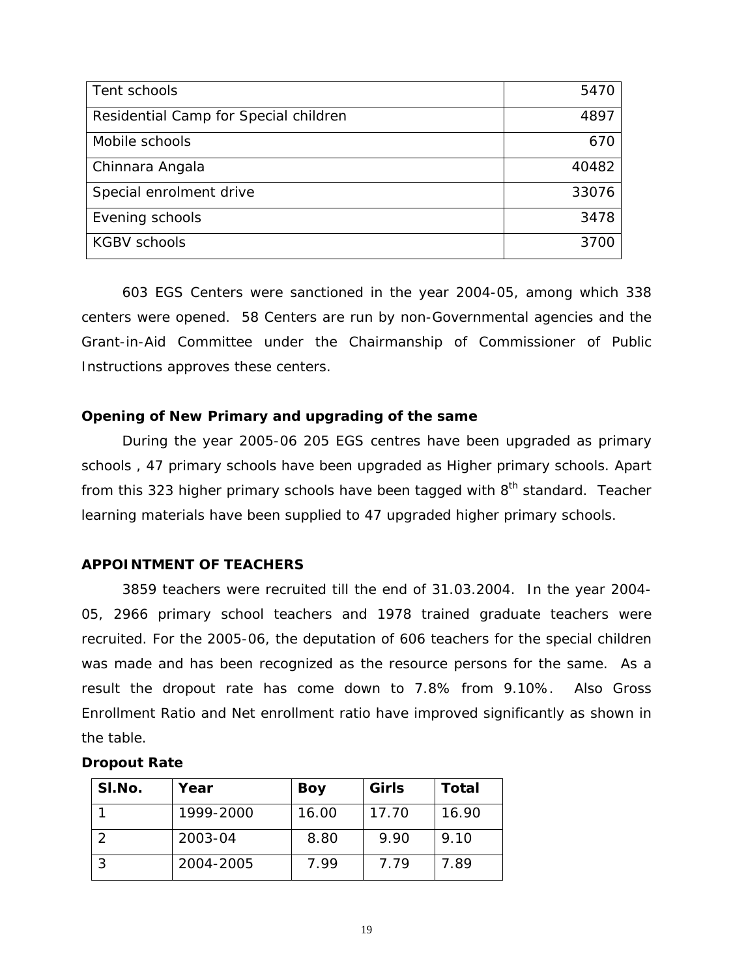| Tent schools                          | 5470  |
|---------------------------------------|-------|
| Residential Camp for Special children | 4897  |
| Mobile schools                        | 670   |
| Chinnara Angala                       | 40482 |
| Special enrolment drive               | 33076 |
| Evening schools                       | 3478  |
| <b>KGBV schools</b>                   | 3700  |

 603 EGS Centers were sanctioned in the year 2004-05, among which 338 centers were opened. 58 Centers are run by non-Governmental agencies and the Grant-in-Aid Committee under the Chairmanship of Commissioner of Public Instructions approves these centers.

## **Opening of New Primary and upgrading of the same**

During the year 2005-06 205 EGS centres have been upgraded as primary schools , 47 primary schools have been upgraded as Higher primary schools. Apart from this 323 higher primary schools have been tagged with  $8<sup>th</sup>$  standard. Teacher learning materials have been supplied to 47 upgraded higher primary schools.

## **APPOINTMENT OF TEACHERS**

 3859 teachers were recruited till the end of 31.03.2004. In the year 2004- 05, 2966 primary school teachers and 1978 trained graduate teachers were recruited. For the 2005-06, the deputation of 606 teachers for the special children was made and has been recognized as the resource persons for the same. As a result the dropout rate has come down to 7.8% from 9.10%. Also Gross Enrollment Ratio and Net enrollment ratio have improved significantly as shown in the table.

#### **Dropout Rate**

| SI.No. | Year      | Boy   | Girls | <b>Total</b> |
|--------|-----------|-------|-------|--------------|
|        | 1999-2000 | 16.00 | 17.70 | 16.90        |
|        | 2003-04   | 8.80  | 9.90  | 9.10         |
|        | 2004-2005 | 7.99  | 7.79  | 7.89         |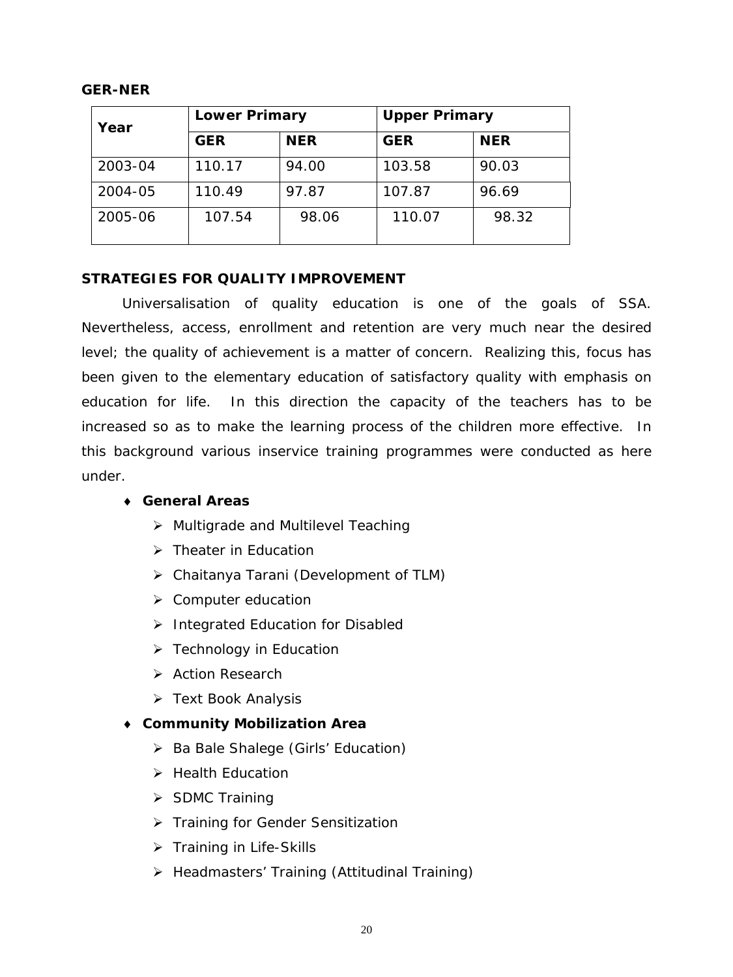## **GER-NER**

| Year    | <b>Lower Primary</b> |            | <b>Upper Primary</b> |            |  |
|---------|----------------------|------------|----------------------|------------|--|
|         | <b>GER</b>           | <b>NER</b> | <b>GER</b>           | <b>NER</b> |  |
| 2003-04 | 110.17               | 94.00      | 103.58               | 90.03      |  |
| 2004-05 | 110.49               | 97.87      | 107.87               | 96.69      |  |
| 2005-06 | 107.54               | 98.06      | 110.07               | 98.32      |  |

## **STRATEGIES FOR QUALITY IMPROVEMENT**

 Universalisation of quality education is one of the goals of SSA. Nevertheless, access, enrollment and retention are very much near the desired level; the quality of achievement is a matter of concern. Realizing this, focus has been given to the elementary education of satisfactory quality with emphasis on education for life. In this direction the capacity of the teachers has to be increased so as to make the learning process of the children more effective. In this background various inservice training programmes were conducted as here under.

## ♦ **General Areas**

- ¾ Multigrade and Multilevel Teaching
- $\triangleright$  Theater in Education
- ¾ Chaitanya Tarani (Development of TLM)
- ¾ Computer education
- $\triangleright$  Integrated Education for Disabled
- $\triangleright$  Technology in Education
- ¾ Action Research
- ¾ Text Book Analysis

## ♦ **Community Mobilization Area**

- ¾ Ba Bale Shalege (Girls' Education)
- $\triangleright$  Health Education
- $\triangleright$  SDMC Training
- ¾ Training for Gender Sensitization
- ¾ Training in Life-Skills
- ¾ Headmasters' Training (Attitudinal Training)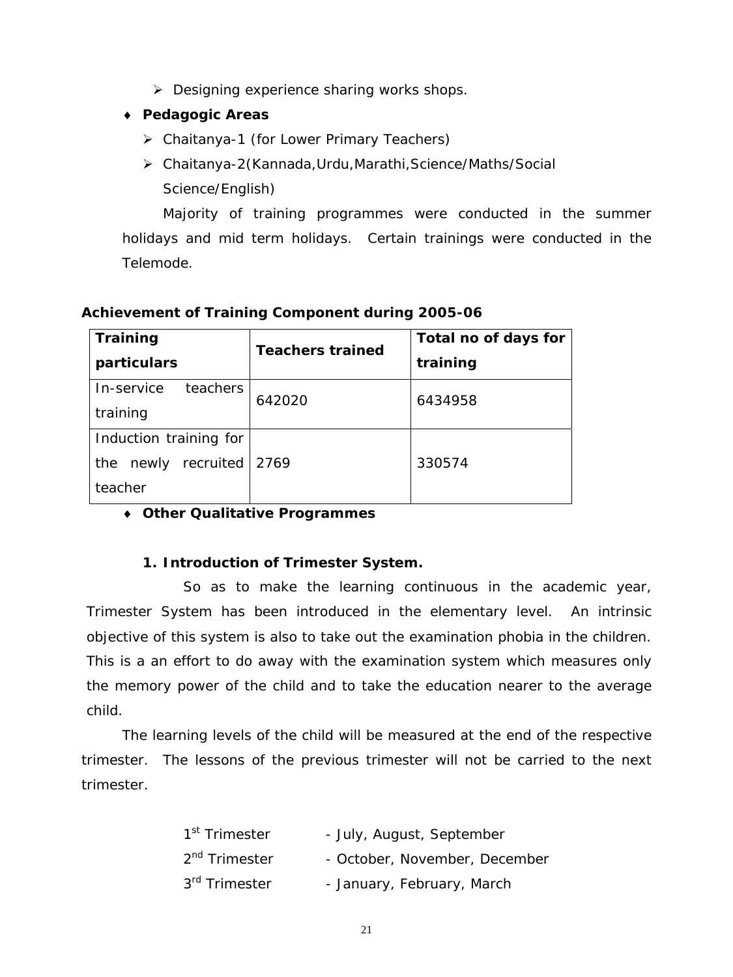- ¾ Designing experience sharing works shops.
- ♦ **Pedagogic Areas** 
	- ¾ Chaitanya-1 (for Lower Primary Teachers)
	- ¾ Chaitanya-2(Kannada,Urdu,Marathi,Science/Maths/Social Science/English)

Majority of training programmes were conducted in the summer holidays and mid term holidays. Certain trainings were conducted in the Telemode.

| Training                  | <b>Teachers trained</b> | Total no of days for |  |  |
|---------------------------|-------------------------|----------------------|--|--|
| particulars               |                         | training             |  |  |
| teachers<br>In-service    | 642020                  | 6434958              |  |  |
| training                  |                         |                      |  |  |
| Induction training for    |                         |                      |  |  |
| recruited<br>newly<br>the | 2769                    | 330574               |  |  |
| teacher                   |                         |                      |  |  |

## **Achievement of Training Component during 2005-06**

## ♦ **Other Qualitative Programmes**

## **1. Introduction of Trimester System.**

So as to make the learning continuous in the academic year, Trimester System has been introduced in the elementary level. An intrinsic objective of this system is also to take out the examination phobia in the children. This is a an effort to do away with the examination system which measures only the memory power of the child and to take the education nearer to the average child.

The learning levels of the child will be measured at the end of the respective trimester. The lessons of the previous trimester will not be carried to the next trimester.

| 1 <sup>st</sup> Trimester | - July, August, September     |
|---------------------------|-------------------------------|
| 2 <sup>nd</sup> Trimester | - October, November, December |
| 3 <sup>rd</sup> Trimester | - January, February, March    |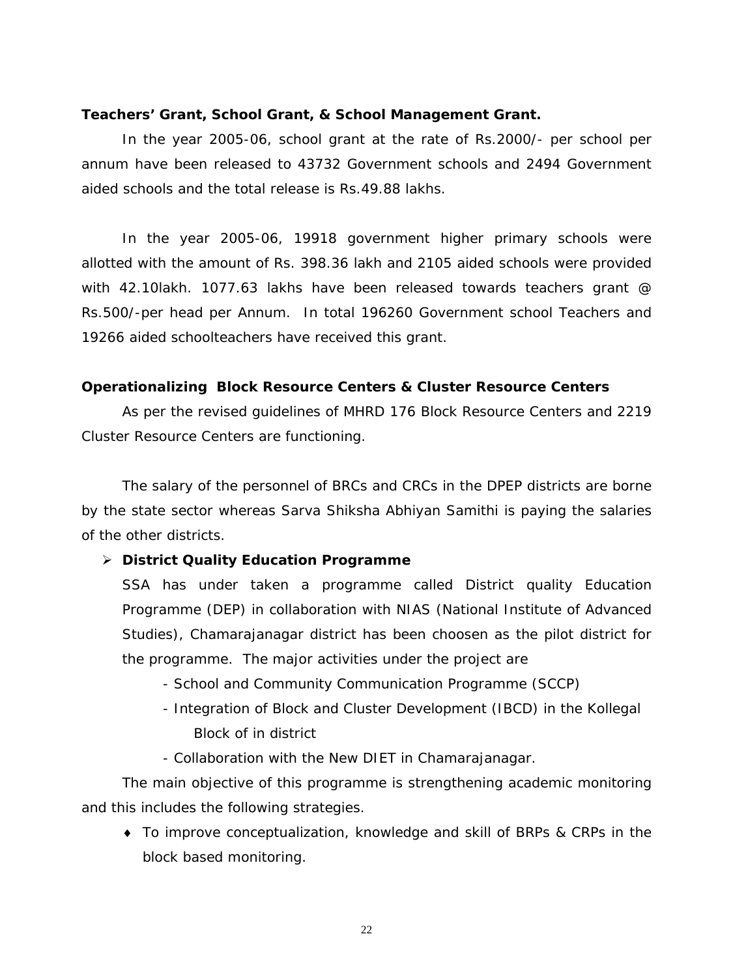#### **Teachers' Grant, School Grant, & School Management Grant.**

 In the year 2005-06, school grant at the rate of Rs.2000/- per school per annum have been released to 43732 Government schools and 2494 Government aided schools and the total release is Rs.49.88 lakhs.

In the year 2005-06, 19918 government higher primary schools were allotted with the amount of Rs. 398.36 lakh and 2105 aided schools were provided with 42.10lakh. 1077.63 lakhs have been released towards teachers grant @ Rs.500/-per head per Annum. In total 196260 Government school Teachers and 19266 aided schoolteachers have received this grant.

#### **Operationalizing Block Resource Centers & Cluster Resource Centers**

 As per the revised guidelines of MHRD 176 Block Resource Centers and 2219 Cluster Resource Centers are functioning.

 The salary of the personnel of BRCs and CRCs in the DPEP districts are borne by the state sector whereas Sarva Shiksha Abhiyan Samithi is paying the salaries of the other districts.

### ¾ **District Quality Education Programme**

SSA has under taken a programme called District quality Education Programme (DEP) in collaboration with NIAS (National Institute of Advanced Studies), Chamarajanagar district has been choosen as the pilot district for the programme. The major activities under the project are

- School and Community Communication Programme (SCCP)
- Integration of Block and Cluster Development (IBCD) in the Kollegal Block of in district
- Collaboration with the New DIET in Chamarajanagar.

 The main objective of this programme is strengthening academic monitoring and this includes the following strategies.

♦ To improve conceptualization, knowledge and skill of BRPs & CRPs in the block based monitoring.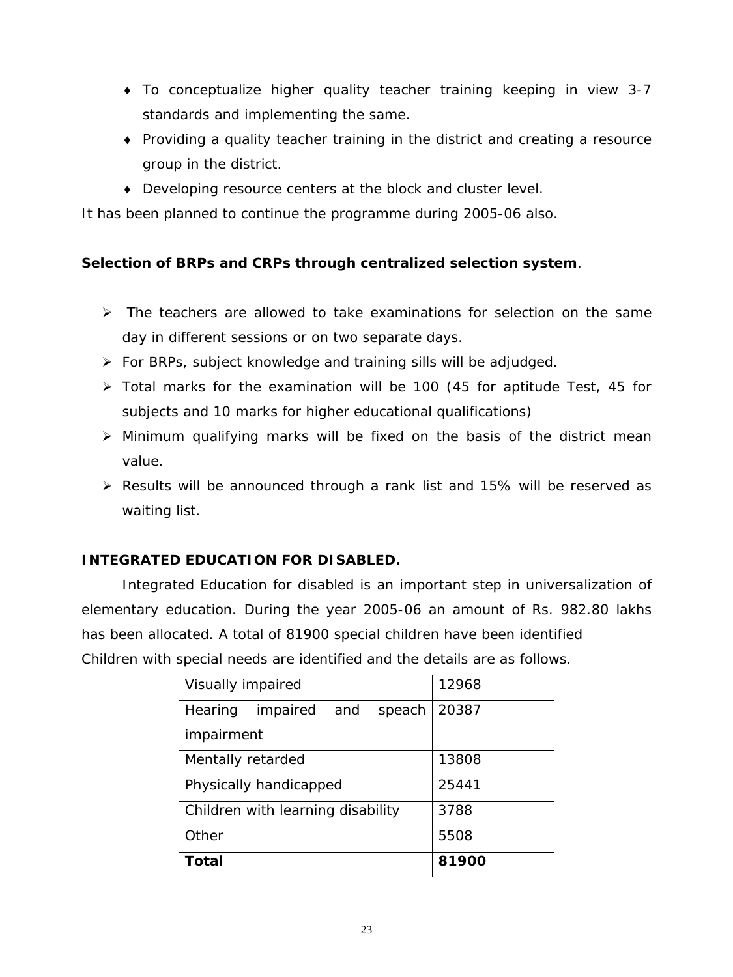- ♦ To conceptualize higher quality teacher training keeping in view 3-7 standards and implementing the same.
- ♦ Providing a quality teacher training in the district and creating a resource group in the district.
- ♦ Developing resource centers at the block and cluster level.

It has been planned to continue the programme during 2005-06 also.

## **Selection of BRPs and CRPs through centralized selection system**.

- $\triangleright$  The teachers are allowed to take examinations for selection on the same day in different sessions or on two separate days.
- ¾ For BRPs, subject knowledge and training sills will be adjudged.
- $\geq$  Total marks for the examination will be 100 (45 for aptitude Test, 45 for subjects and 10 marks for higher educational qualifications)
- $\triangleright$  Minimum qualifying marks will be fixed on the basis of the district mean value.
- ¾ Results will be announced through a rank list and 15% will be reserved as waiting list.

## **INTEGRATED EDUCATION FOR DISABLED.**

Integrated Education for disabled is an important step in universalization of elementary education. During the year 2005-06 an amount of Rs. 982.80 lakhs has been allocated. A total of 81900 special children have been identified Children with special needs are identified and the details are as follows.

| Visually impaired                    | 12968 |
|--------------------------------------|-------|
| impaired<br>speach<br>Hearing<br>and | 20387 |
| impairment                           |       |
| Mentally retarded                    | 13808 |
| Physically handicapped               | 25441 |
| Children with learning disability    | 3788  |
| Other                                | 5508  |
| <b>Total</b>                         | 81900 |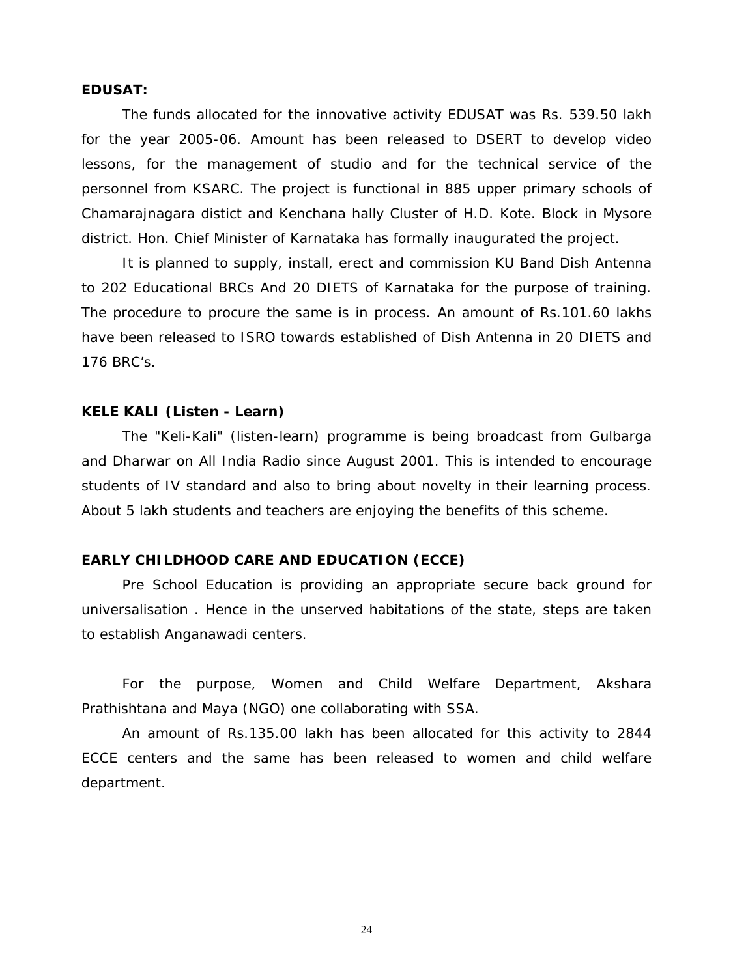#### **EDUSAT:**

 The funds allocated for the innovative activity EDUSAT was Rs. 539.50 lakh for the year 2005-06. Amount has been released to DSERT to develop video lessons, for the management of studio and for the technical service of the personnel from KSARC. The project is functional in 885 upper primary schools of Chamarajnagara distict and Kenchana hally Cluster of H.D. Kote. Block in Mysore district. Hon. Chief Minister of Karnataka has formally inaugurated the project.

It is planned to supply, install, erect and commission KU Band Dish Antenna to 202 Educational BRCs And 20 DIETS of Karnataka for the purpose of training. The procedure to procure the same is in process. An amount of Rs.101.60 lakhs have been released to ISRO towards established of Dish Antenna in 20 DIETS and 176 BRC's.

#### **KELE KALI (Listen - Learn)**

The "Keli-Kali" (listen-learn) programme is being broadcast from Gulbarga and Dharwar on All India Radio since August 2001. This is intended to encourage students of IV standard and also to bring about novelty in their learning process. About 5 lakh students and teachers are enjoying the benefits of this scheme.

#### **EARLY CHILDHOOD CARE AND EDUCATION (ECCE)**

 Pre School Education is providing an appropriate secure back ground for universalisation . Hence in the unserved habitations of the state, steps are taken to establish Anganawadi centers.

 For the purpose, Women and Child Welfare Department, Akshara Prathishtana and Maya (NGO) one collaborating with SSA.

 An amount of Rs.135.00 lakh has been allocated for this activity to 2844 ECCE centers and the same has been released to women and child welfare department.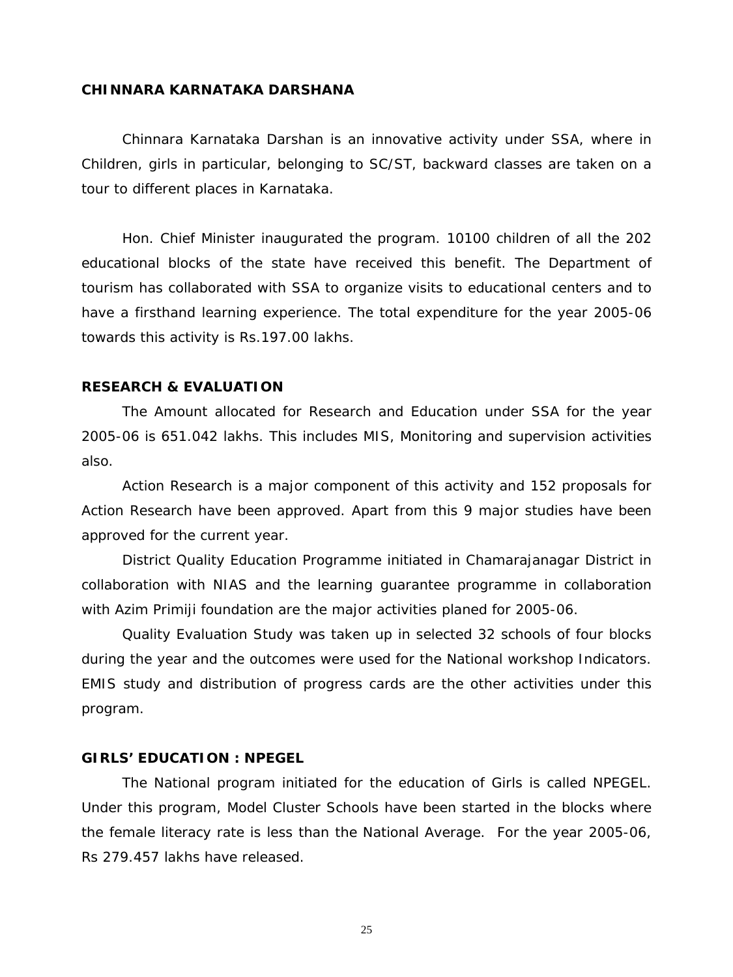### **CHINNARA KARNATAKA DARSHANA**

Chinnara Karnataka Darshan is an innovative activity under SSA, where in Children, girls in particular, belonging to SC/ST, backward classes are taken on a tour to different places in Karnataka.

Hon. Chief Minister inaugurated the program. 10100 children of all the 202 educational blocks of the state have received this benefit. The Department of tourism has collaborated with SSA to organize visits to educational centers and to have a firsthand learning experience. The total expenditure for the year 2005-06 towards this activity is Rs.197.00 lakhs.

#### **RESEARCH & EVALUATION**

 The Amount allocated for Research and Education under SSA for the year 2005-06 is 651.042 lakhs. This includes MIS, Monitoring and supervision activities also.

 Action Research is a major component of this activity and 152 proposals for Action Research have been approved. Apart from this 9 major studies have been approved for the current year.

 District Quality Education Programme initiated in Chamarajanagar District in collaboration with NIAS and the learning guarantee programme in collaboration with Azim Primiji foundation are the major activities planed for 2005-06.

 Quality Evaluation Study was taken up in selected 32 schools of four blocks during the year and the outcomes were used for the National workshop Indicators. EMIS study and distribution of progress cards are the other activities under this program.

#### **GIRLS' EDUCATION : NPEGEL**

 The National program initiated for the education of Girls is called NPEGEL. Under this program, Model Cluster Schools have been started in the blocks where the female literacy rate is less than the National Average. For the year 2005-06, Rs 279.457 lakhs have released.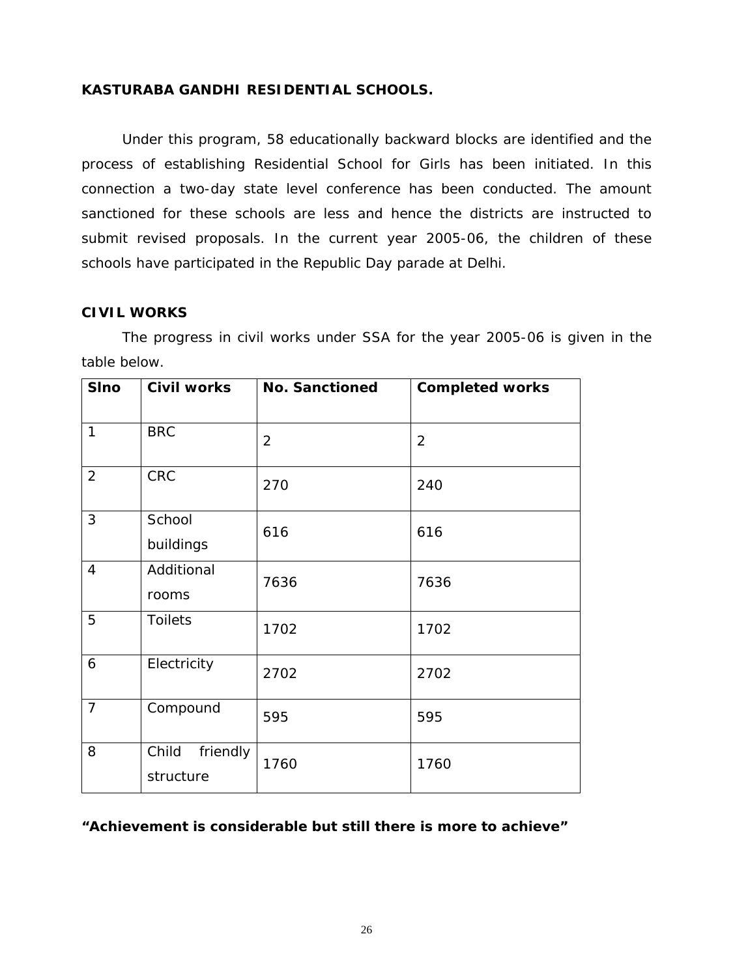## **KASTURABA GANDHI RESIDENTIAL SCHOOLS.**

 Under this program, 58 educationally backward blocks are identified and the process of establishing Residential School for Girls has been initiated. In this connection a two-day state level conference has been conducted. The amount sanctioned for these schools are less and hence the districts are instructed to submit revised proposals. In the current year 2005-06, the children of these schools have participated in the Republic Day parade at Delhi.

### **CIVIL WORKS**

The progress in civil works under SSA for the year 2005-06 is given in the table below.

| <b>SIno</b>    | <b>Civil works</b>             | <b>No. Sanctioned</b> | <b>Completed works</b> |
|----------------|--------------------------------|-----------------------|------------------------|
| $\mathbf{1}$   | <b>BRC</b>                     | 2                     | 2                      |
| 2              | <b>CRC</b>                     | 270                   | 240                    |
| 3              | School<br>buildings            | 616                   | 616                    |
| $\overline{4}$ | Additional<br>rooms            | 7636                  | 7636                   |
| 5              | <b>Toilets</b>                 | 1702                  | 1702                   |
| 6              | Electricity                    | 2702                  | 2702                   |
| $\overline{7}$ | Compound                       | 595                   | 595                    |
| 8              | Child<br>friendly<br>structure | 1760                  | 1760                   |

## **"Achievement is considerable but still there is more to achieve"**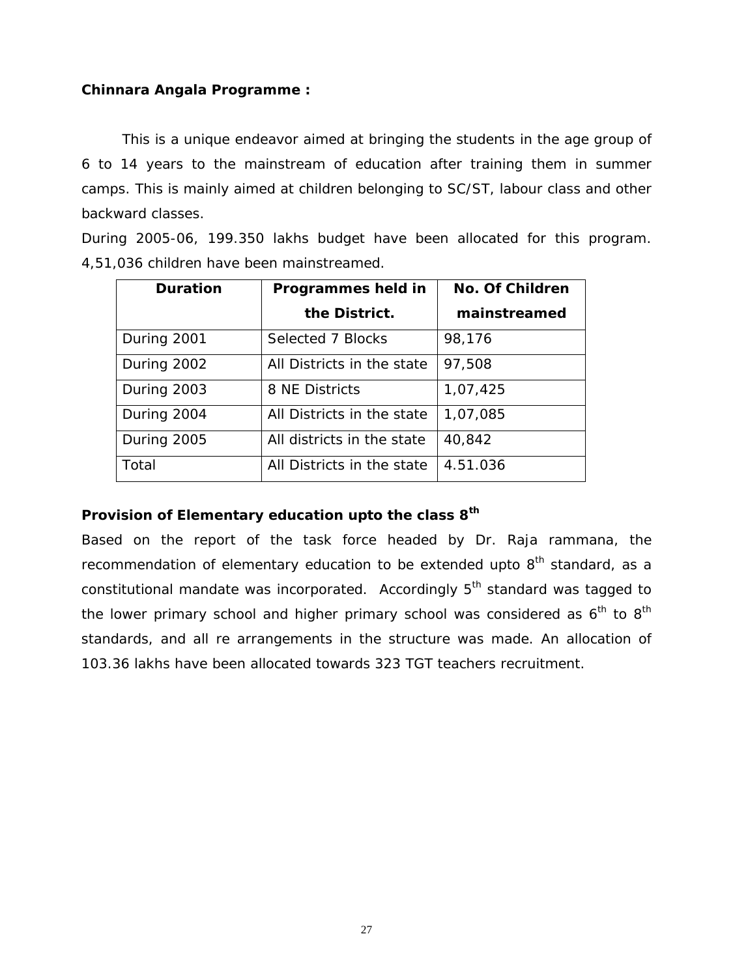## **Chinnara Angala Programme :**

This is a unique endeavor aimed at bringing the students in the age group of 6 to 14 years to the mainstream of education after training them in summer camps. This is mainly aimed at children belonging to SC/ST, labour class and other backward classes.

During 2005-06, 199.350 lakhs budget have been allocated for this program. 4,51,036 children have been mainstreamed.

| <b>Duration</b> | Programmes held in         | No. Of Children |
|-----------------|----------------------------|-----------------|
|                 | the District.              | mainstreamed    |
| During 2001     | Selected 7 Blocks          | 98,176          |
| During 2002     | All Districts in the state | 97,508          |
| During 2003     | 8 NE Districts             | 1,07,425        |
| During 2004     | All Districts in the state | 1,07,085        |
| During 2005     | All districts in the state | 40,842          |
| Total           | All Districts in the state | 4.51.036        |

## **Provision of Elementary education upto the class 8th**

Based on the report of the task force headed by Dr. Raja rammana, the recommendation of elementary education to be extended upto  $8<sup>th</sup>$  standard, as a constitutional mandate was incorporated. Accordingly  $5<sup>th</sup>$  standard was tagged to the lower primary school and higher primary school was considered as  $6<sup>th</sup>$  to  $8<sup>th</sup>$ standards, and all re arrangements in the structure was made. An allocation of 103.36 lakhs have been allocated towards 323 TGT teachers recruitment.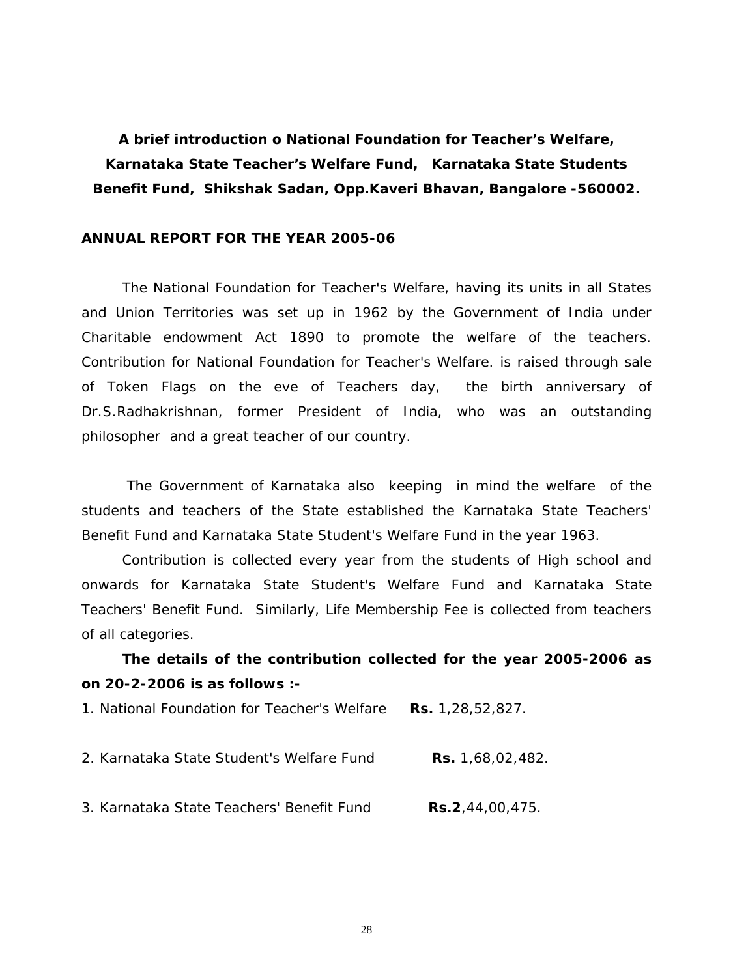**A brief introduction o National Foundation for Teacher's Welfare, Karnataka State Teacher's Welfare Fund, Karnataka State Students Benefit Fund, Shikshak Sadan, Opp.Kaveri Bhavan, Bangalore -560002.** 

#### **ANNUAL REPORT FOR THE YEAR 2005-06**

The National Foundation for Teacher's Welfare, having its units in all States and Union Territories was set up in 1962 by the Government of India under Charitable endowment Act 1890 to promote the welfare of the teachers. Contribution for National Foundation for Teacher's Welfare. is raised through sale of Token Flags on the eve of Teachers day, the birth anniversary of Dr.S.Radhakrishnan, former President of India, who was an outstanding philosopher and a great teacher of our country.

 The Government of Karnataka also keeping in mind the welfare of the students and teachers of the State established the Karnataka State Teachers' Benefit Fund and Karnataka State Student's Welfare Fund in the year 1963.

 Contribution is collected every year from the students of High school and onwards for Karnataka State Student's Welfare Fund and Karnataka State Teachers' Benefit Fund. Similarly, Life Membership Fee is collected from teachers of all categories.

# **The details of the contribution collected for the year 2005-2006 as on 20-2-2006 is as follows :-**

1. National Foundation for Teacher's Welfare **Rs.** 1,28,52,827.

- 2. Karnataka State Student's Welfare Fund **Rs.** 1,68,02,482.
- 3. Karnataka State Teachers' Benefit Fund **Rs.2**,44,00,475.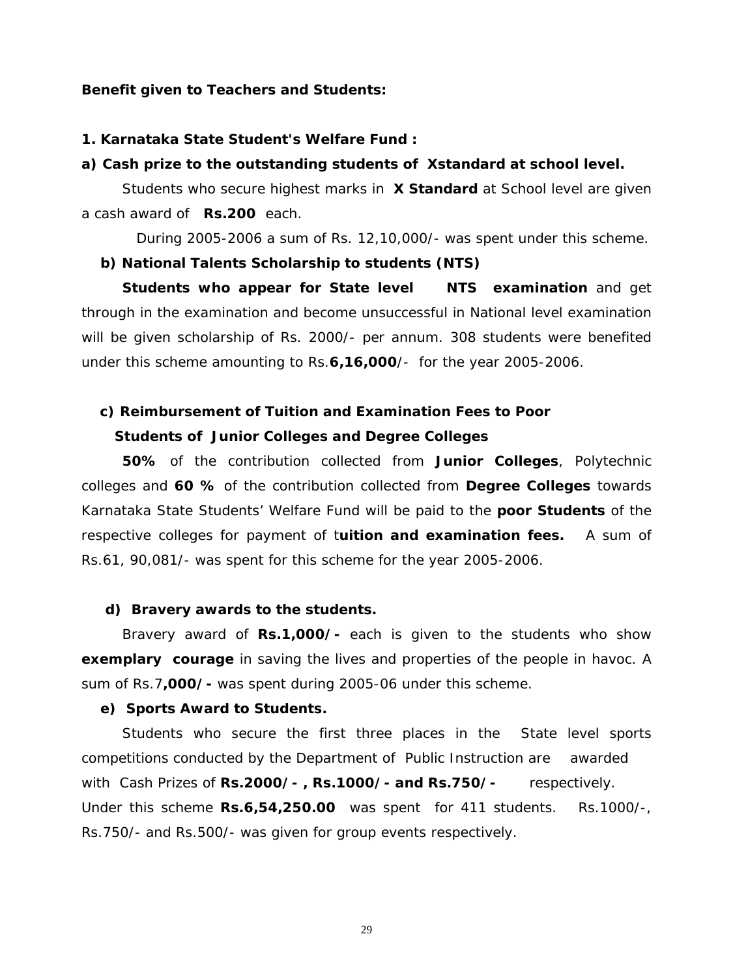#### **Benefit given to Teachers and Students:**

#### **1. Karnataka State Student's Welfare Fund :**

#### **a) Cash prize to the outstanding students of Xstandard at school level.**

 Students who secure highest marks in **X Standard** at School level are given a cash award of **Rs.200** each.

During 2005-2006 a sum of Rs. 12,10,000/- was spent under this scheme.

#### **b) National Talents Scholarship to students (NTS)**

**Students who appear for State level NTS examination** and get through in the examination and become unsuccessful in National level examination will be given scholarship of Rs. 2000/- per annum. 308 students were benefited under this scheme amounting to Rs.**6,16,000**/- for the year 2005-2006.

## **c) Reimbursement of Tuition and Examination Fees to Poor**

### **Students of Junior Colleges and Degree Colleges**

**50%** of the contribution collected from **Junior Colleges**, Polytechnic colleges and **60 %** of the contribution collected from **Degree Colleges** towards Karnataka State Students' Welfare Fund will be paid to the **poor Students** of the respective colleges for payment of t**uition and examination fees.** A sum of Rs.61, 90,081/- was spent for this scheme for the year 2005-2006.

#### **d) Bravery awards to the students.**

 Bravery award of **Rs.1,000/-** each is given to the students who show **exemplary courage** in saving the lives and properties of the people in havoc. A sum of Rs.7**,000/-** was spent during 2005-06 under this scheme.

#### **e) Sports Award to Students.**

 Students who secure the first three places in the State level sports competitions conducted by the Department of Public Instruction are awarded with Cash Prizes of **Rs.2000/- , Rs.1000/- and Rs.750/-** respectively. Under this scheme **Rs.6,54,250.00** was spent for 411 students. Rs.1000/-, Rs.750/- and Rs.500/- was given for group events respectively.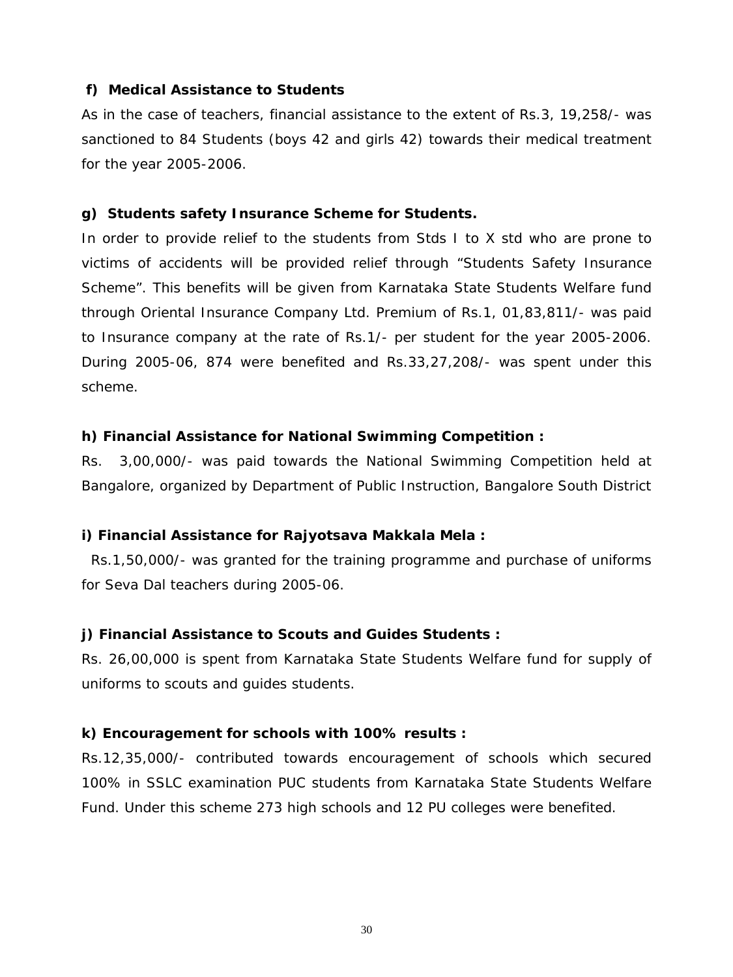## **f) Medical Assistance to Students**

As in the case of teachers, financial assistance to the extent of Rs.3, 19,258/- was sanctioned to 84 Students (boys 42 and girls 42) towards their medical treatment for the year 2005-2006.

### **g) Students safety Insurance Scheme for Students.**

In order to provide relief to the students from Stds I to X std who are prone to victims of accidents will be provided relief through "Students Safety Insurance Scheme". This benefits will be given from Karnataka State Students Welfare fund through Oriental Insurance Company Ltd. Premium of Rs.1, 01,83,811/- was paid to Insurance company at the rate of Rs.1/- per student for the year 2005-2006. During 2005-06, 874 were benefited and Rs.33,27,208/- was spent under this scheme.

### **h) Financial Assistance for National Swimming Competition :**

Rs. 3,00,000/- was paid towards the National Swimming Competition held at Bangalore, organized by Department of Public Instruction, Bangalore South District

#### **i) Financial Assistance for Rajyotsava Makkala Mela :**

 Rs.1,50,000/- was granted for the training programme and purchase of uniforms for Seva Dal teachers during 2005-06.

#### **j) Financial Assistance to Scouts and Guides Students :**

Rs. 26,00,000 is spent from Karnataka State Students Welfare fund for supply of uniforms to scouts and guides students.

#### **k) Encouragement for schools with 100% results :**

Rs.12,35,000/- contributed towards encouragement of schools which secured 100% in SSLC examination PUC students from Karnataka State Students Welfare Fund. Under this scheme 273 high schools and 12 PU colleges were benefited.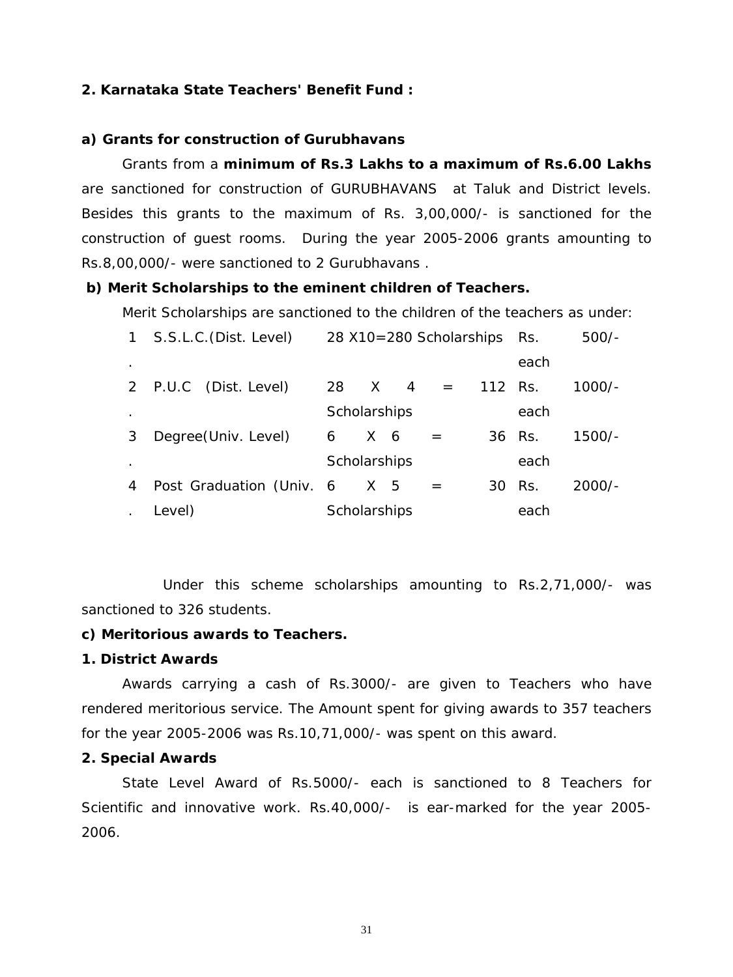### **2. Karnataka State Teachers' Benefit Fund :**

#### **a) Grants for construction of Gurubhavans**

 Grants from a **minimum of Rs.3 Lakhs to a maximum of Rs.6.00 Lakhs** are sanctioned for construction of GURUBHAVANS at Taluk and District levels. Besides this grants to the maximum of Rs. 3,00,000/- is sanctioned for the construction of guest rooms. During the year 2005-2006 grants amounting to Rs.8,00,000/- were sanctioned to 2 Gurubhavans .

#### **b) Merit Scholarships to the eminent children of Teachers.**

Merit Scholarships are sanctioned to the children of the teachers as under:

| $\mathbf{1}$ | S.S.L.C. (Dist. Level)   | 28 X10=280 Scholarships |                |                | Rs.     | $500/-$ |        |          |
|--------------|--------------------------|-------------------------|----------------|----------------|---------|---------|--------|----------|
| $\bullet$    |                          |                         |                |                |         |         | each   |          |
|              | 2 P.U.C (Dist. Level)    | 28 X                    |                | $\overline{4}$ | $=$ $-$ | 112 Rs. |        | $1000/-$ |
|              |                          | Scholarships            |                |                |         |         | each   |          |
| 3            | Degree(Univ. Level)      | 6                       | X <sub>6</sub> |                |         |         | 36 Rs. | $1500/-$ |
|              |                          | Scholarships            |                |                |         |         | each   |          |
| 4            | Post Graduation (Univ. 6 |                         | X 5            |                |         | 30      | Rs.    | $2000/-$ |
|              | Level)                   | Scholarships            |                |                |         |         | each   |          |

 Under this scheme scholarships amounting to Rs.2,71,000/- was sanctioned to 326 students.

### **c) Meritorious awards to Teachers.**

## **1. District Awards**

Awards carrying a cash of Rs.3000/- are given to Teachers who have rendered meritorious service. The Amount spent for giving awards to 357 teachers for the year 2005-2006 was Rs.10,71,000/- was spent on this award.

### **2. Special Awards**

State Level Award of Rs.5000/- each is sanctioned to 8 Teachers for Scientific and innovative work. Rs.40,000/- is ear-marked for the year 2005- 2006.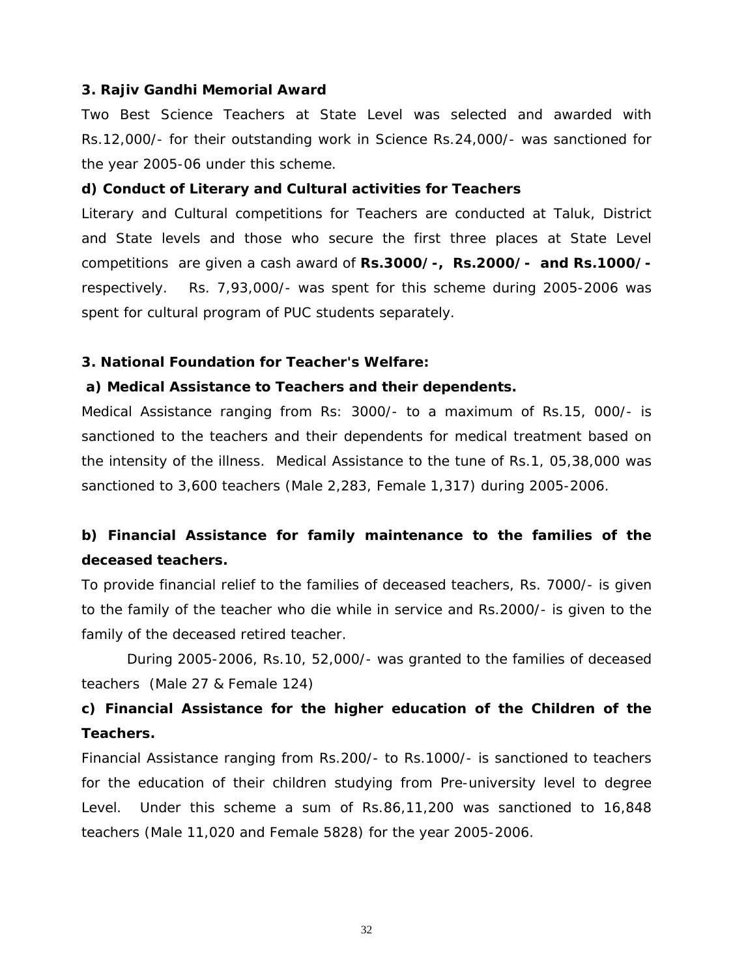#### **3. Rajiv Gandhi Memorial Award**

Two Best Science Teachers at State Level was selected and awarded with Rs.12,000/- for their outstanding work in Science Rs.24,000/- was sanctioned for the year 2005-06 under this scheme.

#### **d) Conduct of Literary and Cultural activities for Teachers**

Literary and Cultural competitions for Teachers are conducted at Taluk, District and State levels and those who secure the first three places at State Level competitions are given a cash award of **Rs.3000/-, Rs.2000/- and Rs.1000/** respectively. Rs. 7,93,000/- was spent for this scheme during 2005-2006 was spent for cultural program of PUC students separately.

#### **3. National Foundation for Teacher's Welfare:**

#### **a) Medical Assistance to Teachers and their dependents.**

Medical Assistance ranging from Rs: 3000/- to a maximum of Rs.15, 000/- is sanctioned to the teachers and their dependents for medical treatment based on the intensity of the illness. Medical Assistance to the tune of Rs.1, 05,38,000 was sanctioned to 3,600 teachers (Male 2,283, Female 1,317) during 2005-2006.

# **b) Financial Assistance for family maintenance to the families of the deceased teachers.**

To provide financial relief to the families of deceased teachers, Rs. 7000/- is given to the family of the teacher who die while in service and Rs.2000/- is given to the family of the deceased retired teacher.

 During 2005-2006, Rs.10, 52,000/- was granted to the families of deceased teachers (Male 27 & Female 124)

# **c) Financial Assistance for the higher education of the Children of the Teachers.**

Financial Assistance ranging from Rs.200/- to Rs.1000/- is sanctioned to teachers for the education of their children studying from Pre-university level to degree Level. Under this scheme a sum of Rs.86,11,200 was sanctioned to 16,848 teachers (Male 11,020 and Female 5828) for the year 2005-2006.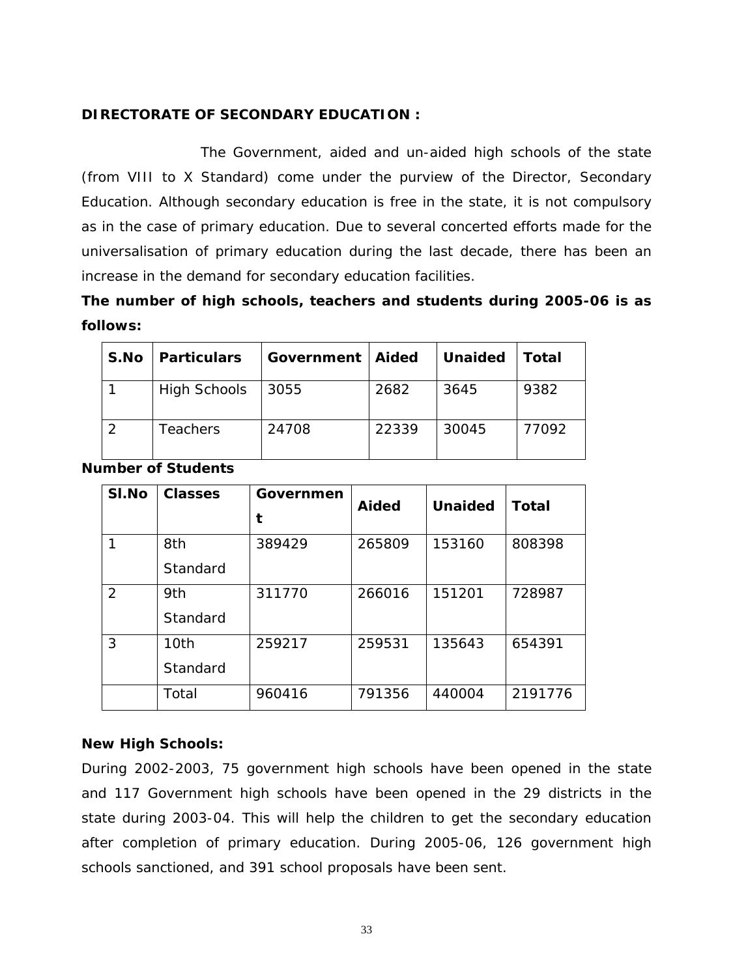## **DIRECTORATE OF SECONDARY EDUCATION :**

 The Government, aided and un-aided high schools of the state (from VIII to X Standard) come under the purview of the Director, Secondary Education. Although secondary education is free in the state, it is not compulsory as in the case of primary education. Due to several concerted efforts made for the universalisation of primary education during the last decade, there has been an increase in the demand for secondary education facilities.

# **The number of high schools, teachers and students during 2005-06 is as follows:**

| S.No | <b>Particulars</b>  | <b>Government   Aided</b> |       | <b>Unaided</b> | Total |
|------|---------------------|---------------------------|-------|----------------|-------|
|      | <b>High Schools</b> | 3055                      | 2682  | 3645           | 9382  |
|      | <b>Teachers</b>     | 24708                     | 22339 | 30045          | 77092 |

**Number of Students** 

| SI.No         | <b>Classes</b>   | Governmen<br>t | <b>Aided</b> | <b>Unaided</b> | <b>Total</b> |
|---------------|------------------|----------------|--------------|----------------|--------------|
|               | 8th<br>Standard  | 389429         | 265809       | 153160         | 808398       |
| $\mathcal{P}$ | 9th<br>Standard  | 311770         | 266016       | 151201         | 728987       |
| 3             | 10th<br>Standard | 259217         | 259531       | 135643         | 654391       |
|               | Total            | 960416         | 791356       | 440004         | 2191776      |

## **New High Schools:**

During 2002-2003, 75 government high schools have been opened in the state and 117 Government high schools have been opened in the 29 districts in the state during 2003-04. This will help the children to get the secondary education after completion of primary education. During 2005-06, 126 government high schools sanctioned, and 391 school proposals have been sent.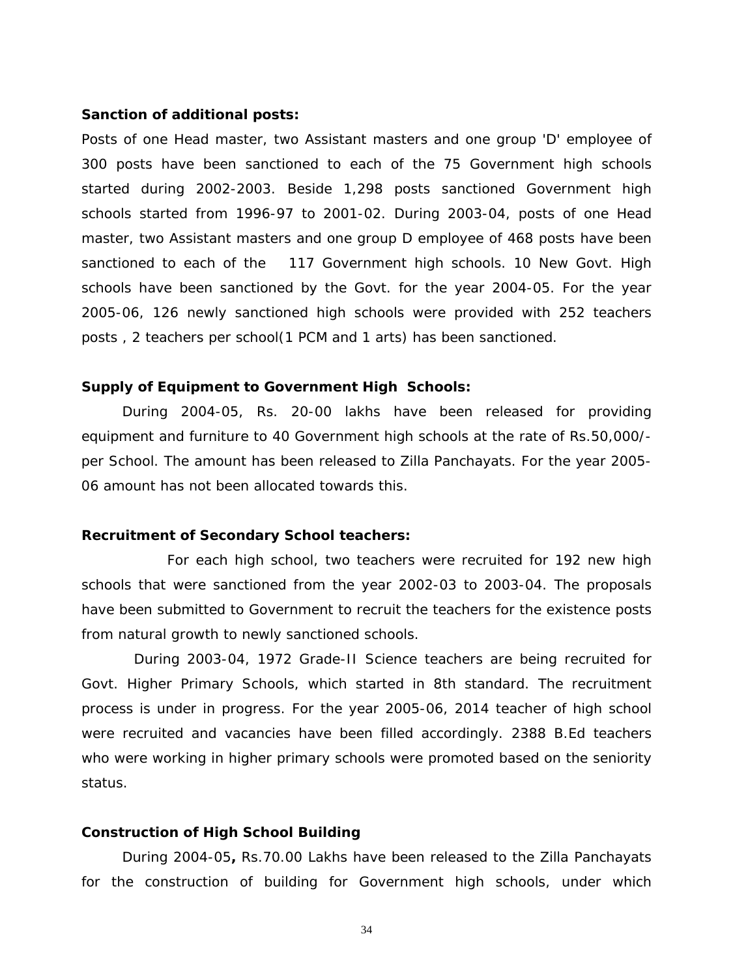#### **Sanction of additional posts:**

Posts of one Head master, two Assistant masters and one group 'D' employee of 300 posts have been sanctioned to each of the 75 Government high schools started during 2002-2003. Beside 1,298 posts sanctioned Government high schools started from 1996-97 to 2001-02. During 2003-04, posts of one Head master, two Assistant masters and one group D employee of 468 posts have been sanctioned to each of the 117 Government high schools. 10 New Govt. High schools have been sanctioned by the Govt. for the year 2004-05. For the year 2005-06, 126 newly sanctioned high schools were provided with 252 teachers posts , 2 teachers per school(1 PCM and 1 arts) has been sanctioned.

#### **Supply of Equipment to Government High Schools:**

During 2004-05, Rs. 20-00 lakhs have been released for providing equipment and furniture to 40 Government high schools at the rate of Rs.50,000/ per School. The amount has been released to Zilla Panchayats. For the year 2005- 06 amount has not been allocated towards this.

### **Recruitment of Secondary School teachers:**

 For each high school, two teachers were recruited for 192 new high schools that were sanctioned from the year 2002-03 to 2003-04. The proposals have been submitted to Government to recruit the teachers for the existence posts from natural growth to newly sanctioned schools.

 During 2003-04, 1972 Grade-II Science teachers are being recruited for Govt. Higher Primary Schools, which started in 8th standard. The recruitment process is under in progress. For the year 2005-06, 2014 teacher of high school were recruited and vacancies have been filled accordingly. 2388 B.Ed teachers who were working in higher primary schools were promoted based on the seniority status.

#### **Construction of High School Building**

During 2004-05**,** Rs.70.00 Lakhs have been released to the Zilla Panchayats for the construction of building for Government high schools, under which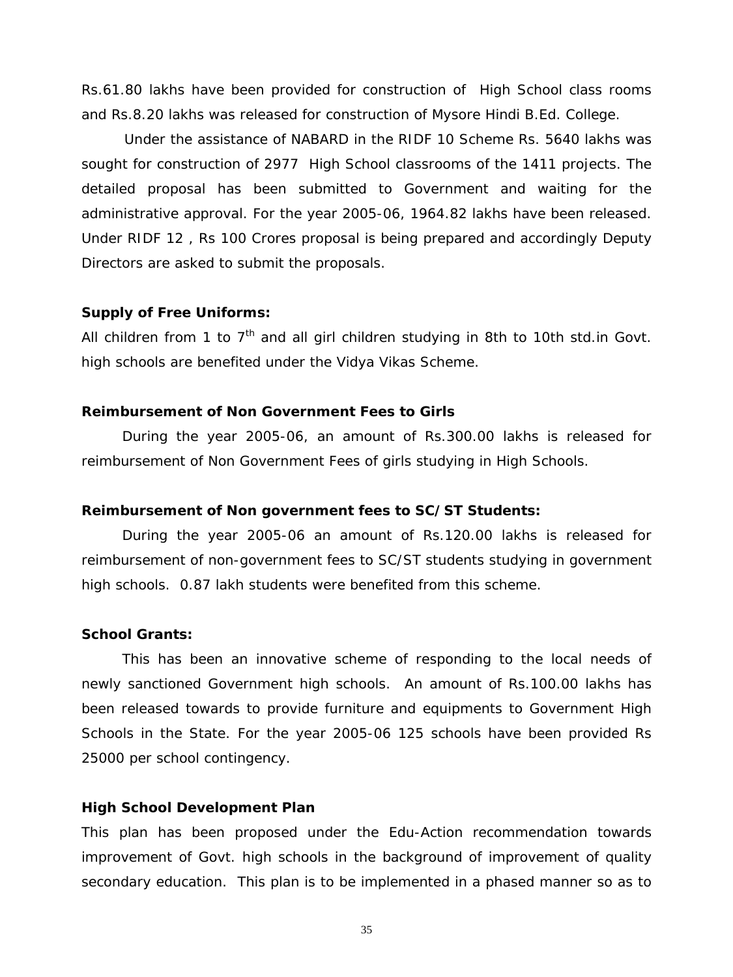Rs.61.80 lakhs have been provided for construction of High School class rooms and Rs.8.20 lakhs was released for construction of Mysore Hindi B.Ed. College.

 Under the assistance of NABARD in the RIDF 10 Scheme Rs. 5640 lakhs was sought for construction of 2977 High School classrooms of the 1411 projects. The detailed proposal has been submitted to Government and waiting for the administrative approval. For the year 2005-06, 1964.82 lakhs have been released. Under RIDF 12 , Rs 100 Crores proposal is being prepared and accordingly Deputy Directors are asked to submit the proposals.

#### **Supply of Free Uniforms:**

All children from 1 to  $7<sup>th</sup>$  and all girl children studying in 8th to 10th std.in Govt. high schools are benefited under the Vidya Vikas Scheme.

#### **Reimbursement of Non Government Fees to Girls**

During the year 2005-06, an amount of Rs.300.00 lakhs is released for reimbursement of Non Government Fees of girls studying in High Schools.

#### **Reimbursement of Non government fees to SC/ST Students:**

During the year 2005-06 an amount of Rs.120.00 lakhs is released for reimbursement of non-government fees to SC/ST students studying in government high schools. 0.87 lakh students were benefited from this scheme.

#### **School Grants:**

This has been an innovative scheme of responding to the local needs of newly sanctioned Government high schools. An amount of Rs.100.00 lakhs has been released towards to provide furniture and equipments to Government High Schools in the State. For the year 2005-06 125 schools have been provided Rs 25000 per school contingency.

#### **High School Development Plan**

This plan has been proposed under the Edu-Action recommendation towards improvement of Govt. high schools in the background of improvement of quality secondary education. This plan is to be implemented in a phased manner so as to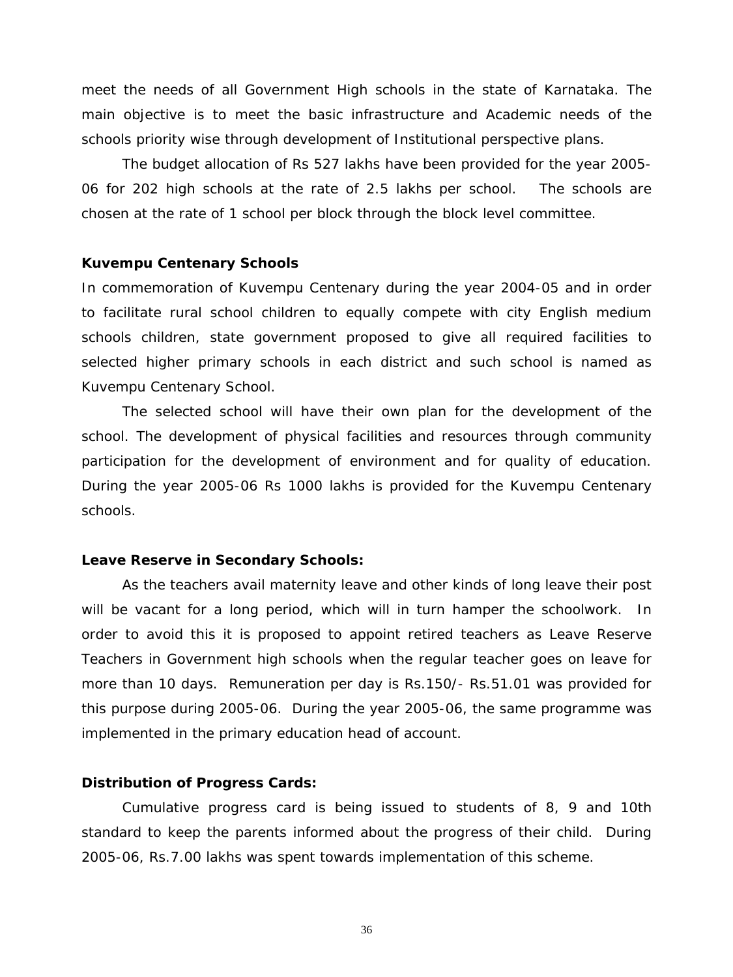meet the needs of all Government High schools in the state of Karnataka. The main objective is to meet the basic infrastructure and Academic needs of the schools priority wise through development of Institutional perspective plans.

 The budget allocation of Rs 527 lakhs have been provided for the year 2005- 06 for 202 high schools at the rate of 2.5 lakhs per school. The schools are chosen at the rate of 1 school per block through the block level committee.

#### **Kuvempu Centenary Schools**

In commemoration of Kuvempu Centenary during the year 2004-05 and in order to facilitate rural school children to equally compete with city English medium schools children, state government proposed to give all required facilities to selected higher primary schools in each district and such school is named as Kuvempu Centenary School.

 The selected school will have their own plan for the development of the school. The development of physical facilities and resources through community participation for the development of environment and for quality of education. During the year 2005-06 Rs 1000 lakhs is provided for the Kuvempu Centenary schools.

#### **Leave Reserve in Secondary Schools:**

As the teachers avail maternity leave and other kinds of long leave their post will be vacant for a long period, which will in turn hamper the schoolwork. In order to avoid this it is proposed to appoint retired teachers as Leave Reserve Teachers in Government high schools when the regular teacher goes on leave for more than 10 days. Remuneration per day is Rs.150/- Rs.51.01 was provided for this purpose during 2005-06. During the year 2005-06, the same programme was implemented in the primary education head of account.

#### **Distribution of Progress Cards:**

Cumulative progress card is being issued to students of 8, 9 and 10th standard to keep the parents informed about the progress of their child. During 2005-06, Rs.7.00 lakhs was spent towards implementation of this scheme.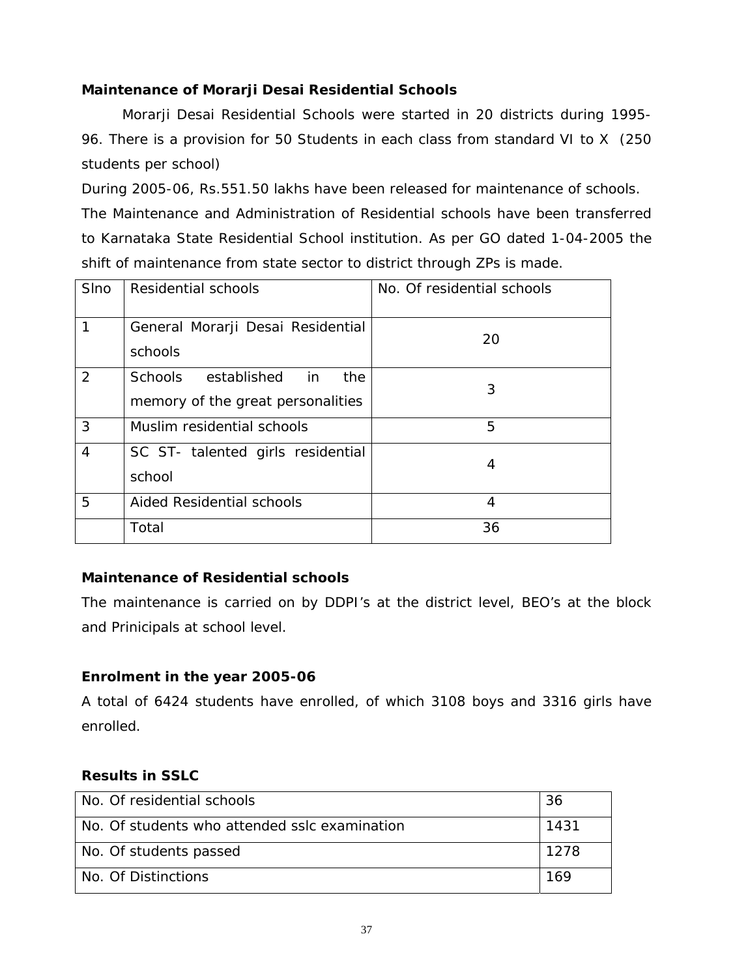## **Maintenance of Morarji Desai Residential Schools**

Morarji Desai Residential Schools were started in 20 districts during 1995- 96. There is a provision for 50 Students in each class from standard VI to X (250 students per school)

During 2005-06, Rs.551.50 lakhs have been released for maintenance of schools. The Maintenance and Administration of Residential schools have been transferred to Karnataka State Residential School institution. As per GO dated 1-04-2005 the shift of maintenance from state sector to district through ZPs is made.

| <b>SIno</b>    | Residential schools                                                | No. Of residential schools |
|----------------|--------------------------------------------------------------------|----------------------------|
|                | General Morarji Desai Residential<br>schools                       | 20                         |
| 2              | Schools established in<br>the<br>memory of the great personalities | 3                          |
| 3              | Muslim residential schools                                         | 5                          |
| $\overline{4}$ | SC ST- talented girls residential<br>school                        | 4                          |
| 5              | Aided Residential schools                                          | 4                          |
|                | Total                                                              | 36                         |

## **Maintenance of Residential schools**

The maintenance is carried on by DDPI's at the district level, BEO's at the block and Prinicipals at school level.

## **Enrolment in the year 2005-06**

A total of 6424 students have enrolled, of which 3108 boys and 3316 girls have enrolled.

## **Results in SSLC**

| No. Of residential schools                    | 36   |
|-----------------------------------------------|------|
| No. Of students who attended sslc examination | 1431 |
| No. Of students passed                        | 1278 |
| No. Of Distinctions                           | 169  |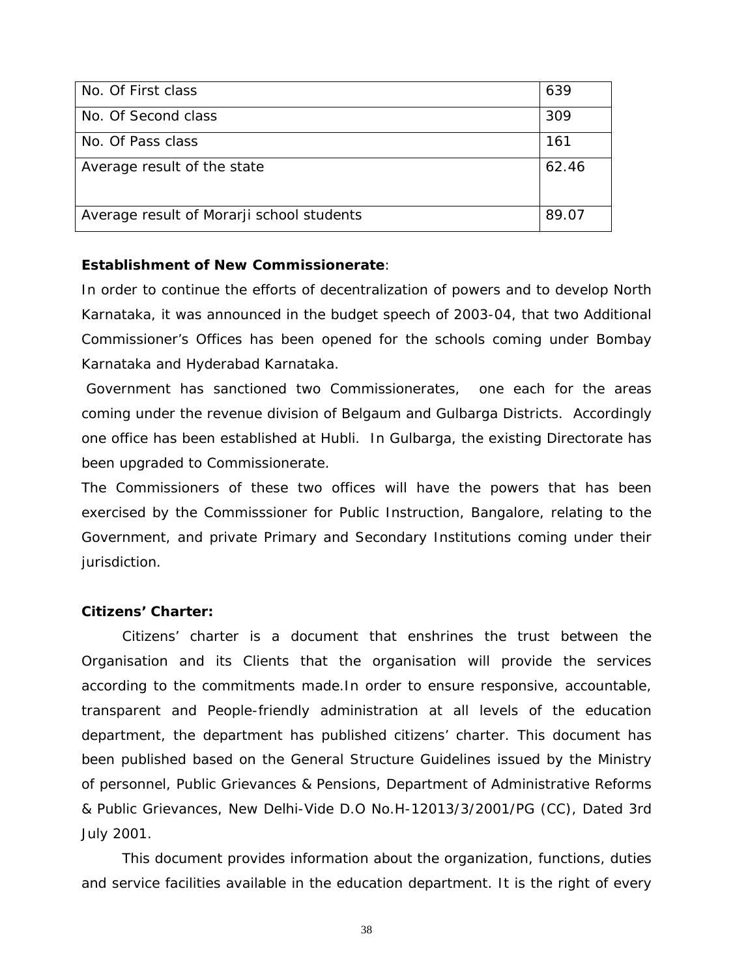| No. Of First class                        | 639   |
|-------------------------------------------|-------|
| No. Of Second class                       | 309   |
| No. Of Pass class                         | 161   |
| Average result of the state               | 62.46 |
| Average result of Morarji school students | 89.07 |

### **Establishment of New Commissionerate**:

In order to continue the efforts of decentralization of powers and to develop North Karnataka, it was announced in the budget speech of 2003-04, that two Additional Commissioner's Offices has been opened for the schools coming under Bombay Karnataka and Hyderabad Karnataka.

 Government has sanctioned two Commissionerates, one each for the areas coming under the revenue division of Belgaum and Gulbarga Districts. Accordingly one office has been established at Hubli. In Gulbarga, the existing Directorate has been upgraded to Commissionerate.

The Commissioners of these two offices will have the powers that has been exercised by the Commisssioner for Public Instruction, Bangalore, relating to the Government, and private Primary and Secondary Institutions coming under their jurisdiction.

### **Citizens' Charter:**

Citizens' charter is a document that enshrines the trust between the Organisation and its Clients that the organisation will provide the services according to the commitments made.In order to ensure responsive, accountable, transparent and People-friendly administration at all levels of the education department, the department has published citizens' charter. This document has been published based on the General Structure Guidelines issued by the Ministry of personnel, Public Grievances & Pensions, Department of Administrative Reforms & Public Grievances, New Delhi-Vide D.O No.H-12013/3/2001/PG (CC), Dated 3rd July 2001.

This document provides information about the organization, functions, duties and service facilities available in the education department. It is the right of every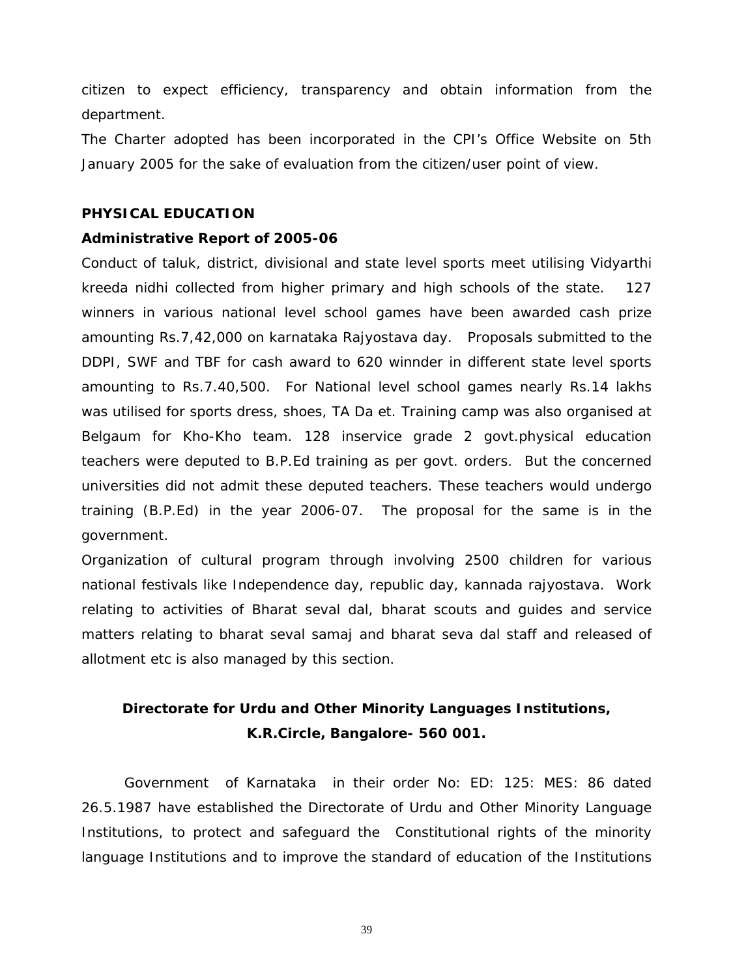citizen to expect efficiency, transparency and obtain information from the department.

The Charter adopted has been incorporated in the CPI's Office Website on 5th January 2005 for the sake of evaluation from the citizen/user point of view.

### **PHYSICAL EDUCATION**

### **Administrative Report of 2005-06**

Conduct of taluk, district, divisional and state level sports meet utilising Vidyarthi kreeda nidhi collected from higher primary and high schools of the state. 127 winners in various national level school games have been awarded cash prize amounting Rs.7,42,000 on karnataka Rajyostava day. Proposals submitted to the DDPI, SWF and TBF for cash award to 620 winnder in different state level sports amounting to Rs.7.40,500. For National level school games nearly Rs.14 lakhs was utilised for sports dress, shoes, TA Da et. Training camp was also organised at Belgaum for Kho-Kho team. 128 inservice grade 2 govt.physical education teachers were deputed to B.P.Ed training as per govt. orders. But the concerned universities did not admit these deputed teachers. These teachers would undergo training (B.P.Ed) in the year 2006-07. The proposal for the same is in the government.

Organization of cultural program through involving 2500 children for various national festivals like Independence day, republic day, kannada rajyostava. Work relating to activities of Bharat seval dal, bharat scouts and guides and service matters relating to bharat seval samaj and bharat seva dal staff and released of allotment etc is also managed by this section.

# **Directorate for Urdu and Other Minority Languages Institutions, K.R.Circle, Bangalore- 560 001.**

 Government of Karnataka in their order No: ED: 125: MES: 86 dated 26.5.1987 have established the Directorate of Urdu and Other Minority Language Institutions, to protect and safeguard the Constitutional rights of the minority language Institutions and to improve the standard of education of the Institutions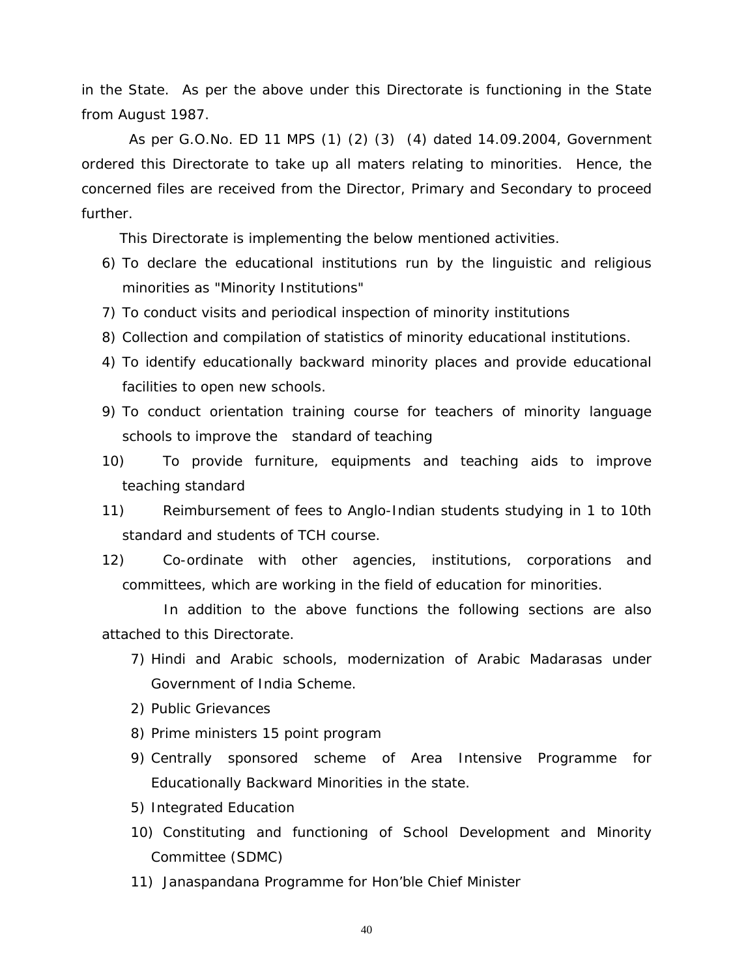in the State. As per the above under this Directorate is functioning in the State from August 1987.

 As per G.O.No. ED 11 MPS (1) (2) (3) (4) dated 14.09.2004, Government ordered this Directorate to take up all maters relating to minorities. Hence, the concerned files are received from the Director, Primary and Secondary to proceed further.

This Directorate is implementing the below mentioned activities.

- 6) To declare the educational institutions run by the linguistic and religious minorities as "Minority Institutions"
- 7) To conduct visits and periodical inspection of minority institutions
- 8) Collection and compilation of statistics of minority educational institutions.
- 4) To identify educationally backward minority places and provide educational facilities to open new schools.
- 9) To conduct orientation training course for teachers of minority language schools to improve the standard of teaching
- 10) To provide furniture, equipments and teaching aids to improve teaching standard
- 11) Reimbursement of fees to Anglo-Indian students studying in 1 to 10th standard and students of TCH course.
- committees, which are working in the field of education for minorities. 12) Co-ordinate with other agencies, institutions, corporations and

 In addition to the above functions the following sections are also attached to this Directorate.

- 7) Hindi and Arabic schools, modernization of Arabic Madarasas under Government of India Scheme.
- 2) Public Grievances
- 8) Prime ministers 15 point program
- 9) Centrally sponsored scheme of Area Intensive Programme for Educationally Backward Minorities in the state.
- 5) Integrated Education
- 10) Constituting and functioning of School Development and Minority Committee (SDMC)
- 11) Janaspandana Programme for Hon'ble Chief Minister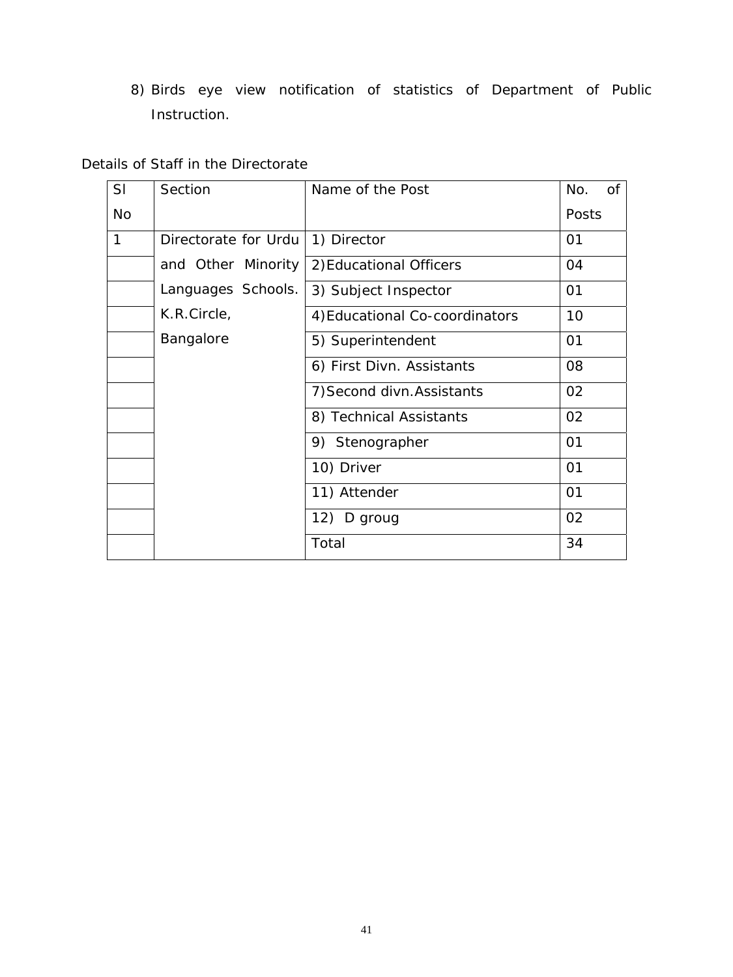8) Birds eye view notification of statistics of Department of Public Instruction.

## Details of Staff in the Directorate

| SI           | Section              | Name of the Post               | No.<br>0f |
|--------------|----------------------|--------------------------------|-----------|
| <b>No</b>    |                      |                                | Posts     |
| $\mathbf{1}$ | Directorate for Urdu | 1) Director                    | 01        |
|              | and Other Minority   | 2) Educational Officers        | 04        |
|              | Languages Schools.   | 3) Subject Inspector           | 01        |
|              | K.R.Circle,          | 4) Educational Co-coordinators | 10        |
|              | <b>Bangalore</b>     | 5) Superintendent              | 01        |
|              |                      | 6) First Divn. Assistants      | 08        |
|              |                      | 7) Second divn. Assistants     | 02        |
|              |                      | 8) Technical Assistants        | 02        |
|              |                      | 9) Stenographer                | 01        |
|              |                      | 10) Driver                     | 01        |
|              |                      | 11) Attender                   | 01        |
|              |                      | 12) D groug                    | 02        |
|              |                      | Total                          | 34        |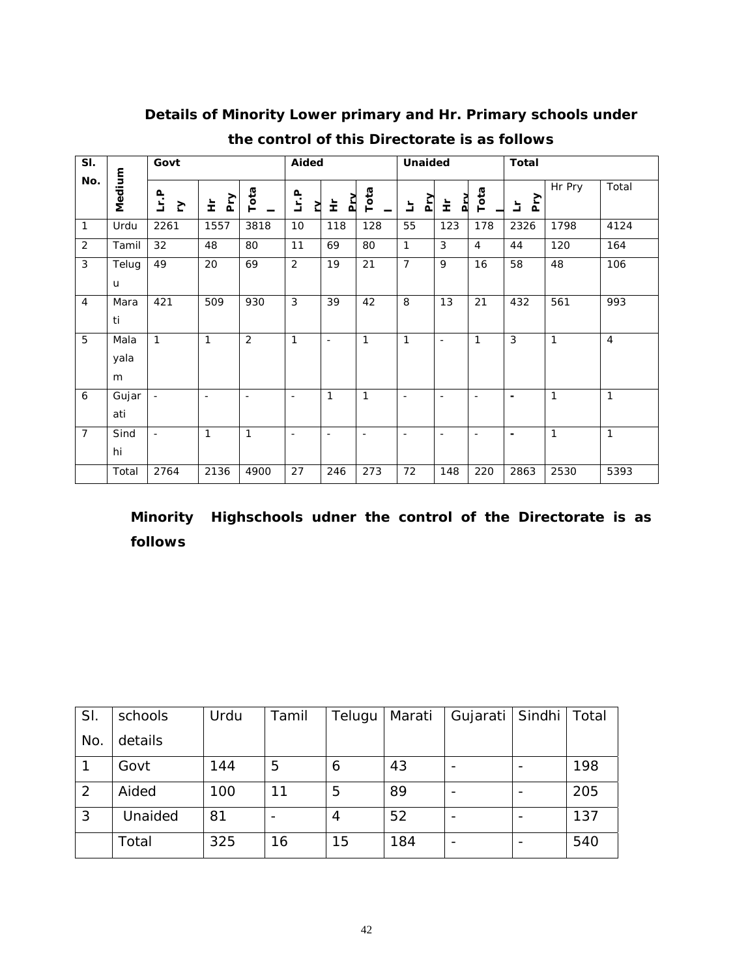| SI.              |                   | Govt             |                |                | Aided                    |                          |                          | <b>Unaided</b>           |                          |                | <b>Total</b>             |        |                |
|------------------|-------------------|------------------|----------------|----------------|--------------------------|--------------------------|--------------------------|--------------------------|--------------------------|----------------|--------------------------|--------|----------------|
| No.              | Medium            | <u>Lr.P</u><br>Ŋ | ΡŊ<br>눈        | Tota           | Lr.P<br>Σ                | $\mathbf{p}$<br>눈        | Tota                     | <u>NT</u><br>브           | Prv<br>눈                 | Tota           | Pry<br>는                 | Hr Pry | Total          |
| 1                | Urdu              | 2261             | 1557           | 3818           | 10                       | 118                      | 128                      | 55                       | 123                      | 178            | 2326                     | 1798   | 4124           |
| $\overline{2}$   | Tamil             | 32               | 48             | 80             | 11                       | 69                       | 80                       | $\mathbf{1}$             | $\mathfrak{Z}$           | $\overline{4}$ | 44                       | 120    | 164            |
| 3                | Telug<br>u        | 49               | 20             | 69             | $\overline{2}$           | 19                       | 21                       | $\overline{7}$           | 9                        | 16             | 58                       | 48     | 106            |
| 4                | Mara<br>ti        | 421              | 509            | 930            | $\mathfrak{Z}$           | 39                       | 42                       | 8                        | 13                       | 21             | 432                      | 561    | 993            |
| 5                | Mala<br>yala<br>m | $\mathbf{1}$     | 1              | $\overline{2}$ | 1                        | $\overline{\phantom{a}}$ | 1                        | 1                        | $\blacksquare$           | $\mathbf{1}$   | $\mathfrak{Z}$           | 1      | $\overline{4}$ |
| $\boldsymbol{6}$ | Gujar<br>ati      | $\blacksquare$   | $\blacksquare$ | $\blacksquare$ | $\overline{\phantom{a}}$ | $\mathbf{1}$             | 1                        | $\overline{\phantom{a}}$ | $\sim$                   | $\blacksquare$ | $\blacksquare$           | 1      | $\mathbf{1}$   |
| $\overline{7}$   | Sind<br>hi        | $\blacksquare$   | 1              | 1              | $\overline{\phantom{a}}$ | $\blacksquare$           | $\overline{\phantom{a}}$ | $\overline{\phantom{a}}$ | $\overline{\phantom{a}}$ | $\blacksquare$ | $\overline{\phantom{a}}$ | 1      | $\mathbf{1}$   |
|                  | Total             | 2764             | 2136           | 4900           | 27                       | 246                      | 273                      | 72                       | 148                      | 220            | 2863                     | 2530   | 5393           |

# **Details of Minority Lower primary and Hr. Primary schools under the control of this Directorate is as follows**

**Minority Highschools udner the control of the Directorate is as follows** 

| SI.            | schools | Urdu | Tamil | Telugu | Marati | Gujarati | Sindhi | Total |
|----------------|---------|------|-------|--------|--------|----------|--------|-------|
| No.            | details |      |       |        |        |          |        |       |
|                | Govt    | 144  | 5     | 6      | 43     |          |        | 198   |
| $\overline{2}$ | Aided   | 100  | 11    | 5      | 89     |          |        | 205   |
| 3              | Unaided | 81   |       | 4      | 52     |          |        | 137   |
|                | Total   | 325  | 16    | 15     | 184    |          |        | 540   |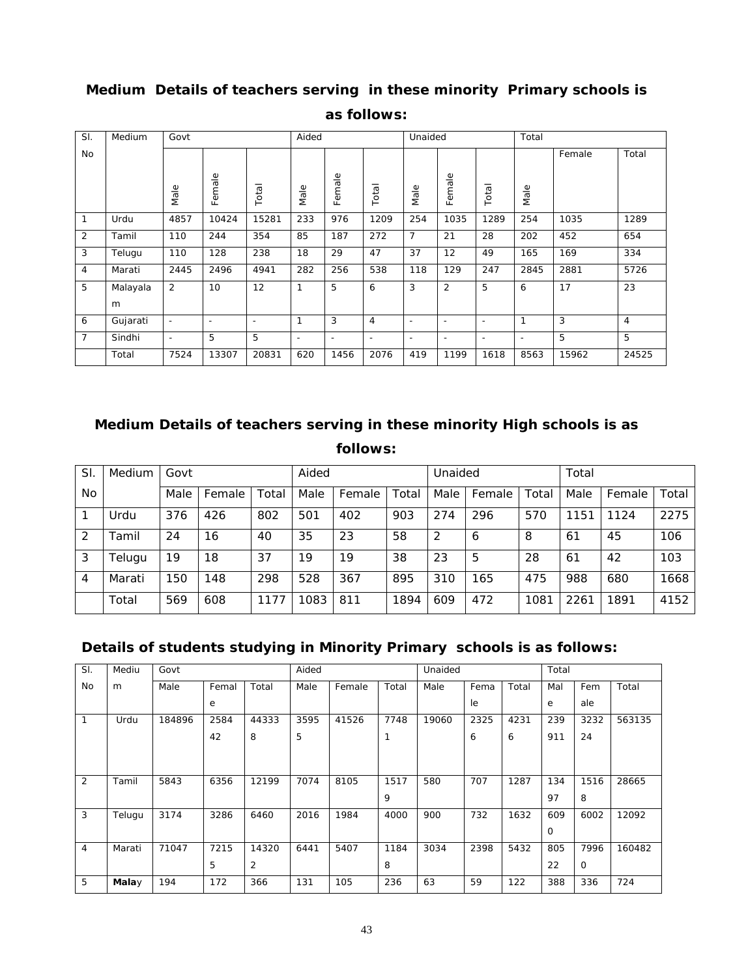| SI.            | Medium   | Govt                     |                          |       | Aided                    |                          |                          | Unaided                  |                          |                          | Total                    |        |                |
|----------------|----------|--------------------------|--------------------------|-------|--------------------------|--------------------------|--------------------------|--------------------------|--------------------------|--------------------------|--------------------------|--------|----------------|
| No             |          |                          |                          |       |                          |                          |                          |                          |                          |                          |                          | Female | Total          |
|                |          | Male                     | Female                   | Total | Male                     | Female                   | Total                    | Male                     | Female                   | Total                    | Male                     |        |                |
| 1              | Urdu     | 4857                     | 10424                    | 15281 | 233                      | 976                      | 1209                     | 254                      | 1035                     | 1289                     | 254                      | 1035   | 1289           |
| 2              | Tamil    | 110                      | 244                      | 354   | 85                       | 187                      | 272                      | $\overline{7}$           | 21                       | 28                       | 202                      | 452    | 654            |
| 3              | Telugu   | 110                      | 128                      | 238   | 18                       | 29                       | 47                       | 37                       | 12                       | 49                       | 165                      | 169    | 334            |
| $\overline{4}$ | Marati   | 2445                     | 2496                     | 4941  | 282                      | 256                      | 538                      | 118                      | 129                      | 247                      | 2845                     | 2881   | 5726           |
| 5              | Malayala | 2                        | 10                       | 12    | 1                        | 5                        | 6                        | 3                        | $\overline{2}$           | 5                        | 6                        | 17     | 23             |
|                | m        |                          |                          |       |                          |                          |                          |                          |                          |                          |                          |        |                |
| 6              | Gujarati | $\overline{\phantom{a}}$ | $\overline{\phantom{0}}$ | ٠     | $\mathbf 1$              | 3                        | $\overline{4}$           | $\overline{\phantom{a}}$ | $\overline{\phantom{a}}$ | $\overline{\phantom{a}}$ | $\mathbf 1$              | 3      | $\overline{4}$ |
| $\overline{7}$ | Sindhi   | $\overline{\phantom{a}}$ | 5                        | 5     | $\overline{\phantom{a}}$ | $\overline{\phantom{a}}$ | $\overline{\phantom{a}}$ | $\overline{\phantom{a}}$ | $\overline{\phantom{a}}$ | $\overline{\phantom{a}}$ | $\overline{\phantom{a}}$ | 5      | 5              |
|                | Total    | 7524                     | 13307                    | 20831 | 620                      | 1456                     | 2076                     | 419                      | 1199                     | 1618                     | 8563                     | 15962  | 24525          |

# **Medium Details of teachers serving in these minority Primary schools is as follows:**

# **Medium Details of teachers serving in these minority High schools is as follows:**

| SI             | Medium | Govt |        |       | Aided |        |       | Unaided |        |       | Total |        |       |  |
|----------------|--------|------|--------|-------|-------|--------|-------|---------|--------|-------|-------|--------|-------|--|
| <b>No</b>      |        | Male | Female | Total | Male  | Female | Total | Male    | Female | Total | Male  | Female | Total |  |
|                | Urdu   | 376  | 426    | 802   | 501   | 402    | 903   | 274     | 296    | 570   | 1151  | 1124   | 2275  |  |
| 2              | Tamil  | 24   | 16     | 40    | 35    | 23     | 58    | 2       | 6      | 8     | 61    | 45     | 106   |  |
| 3              | Telugu | 19   | 18     | 37    | 19    | 19     | 38    | 23      | 5      | 28    | 61    | 42     | 103   |  |
| $\overline{4}$ | Marati | 150  | 148    | 298   | 528   | 367    | 895   | 310     | 165    | 475   | 988   | 680    | 1668  |  |
|                | Total  | 569  | 608    | 1177  | 1083  | 811    | 1894  | 609     | 472    | 1081  | 2261  | 1891   | 4152  |  |

## **Details of students studying in Minority Primary schools is as follows:**

| SI. | Mediu  | Govt   |       |       | Aided |        |       | Unaided |      |       | Total    |             |        |
|-----|--------|--------|-------|-------|-------|--------|-------|---------|------|-------|----------|-------------|--------|
| No  | m      | Male   | Femal | Total | Male  | Female | Total | Male    | Fema | Total | Mal      | Fem         | Total  |
|     |        |        | е     |       |       |        |       |         | le   |       | e        | ale         |        |
| 1   | Urdu   | 184896 | 2584  | 44333 | 3595  | 41526  | 7748  | 19060   | 2325 | 4231  | 239      | 3232        | 563135 |
|     |        |        | 42    | 8     | 5     |        | 1     |         | 6    | 6     | 911      | 24          |        |
|     |        |        |       |       |       |        |       |         |      |       |          |             |        |
|     |        |        |       |       |       |        |       |         |      |       |          |             |        |
| 2   | Tamil  | 5843   | 6356  | 12199 | 7074  | 8105   | 1517  | 580     | 707  | 1287  | 134      | 1516        | 28665  |
|     |        |        |       |       |       |        | 9     |         |      |       | 97       | 8           |        |
| 3   | Telugu | 3174   | 3286  | 6460  | 2016  | 1984   | 4000  | 900     | 732  | 1632  | 609      | 6002        | 12092  |
|     |        |        |       |       |       |        |       |         |      |       | $\Omega$ |             |        |
| 4   | Marati | 71047  | 7215  | 14320 | 6441  | 5407   | 1184  | 3034    | 2398 | 5432  | 805      | 7996        | 160482 |
|     |        |        | 5     | 2     |       |        | 8     |         |      |       | 22       | $\mathbf 0$ |        |
| 5   | Malay  | 194    | 172   | 366   | 131   | 105    | 236   | 63      | 59   | 122   | 388      | 336         | 724    |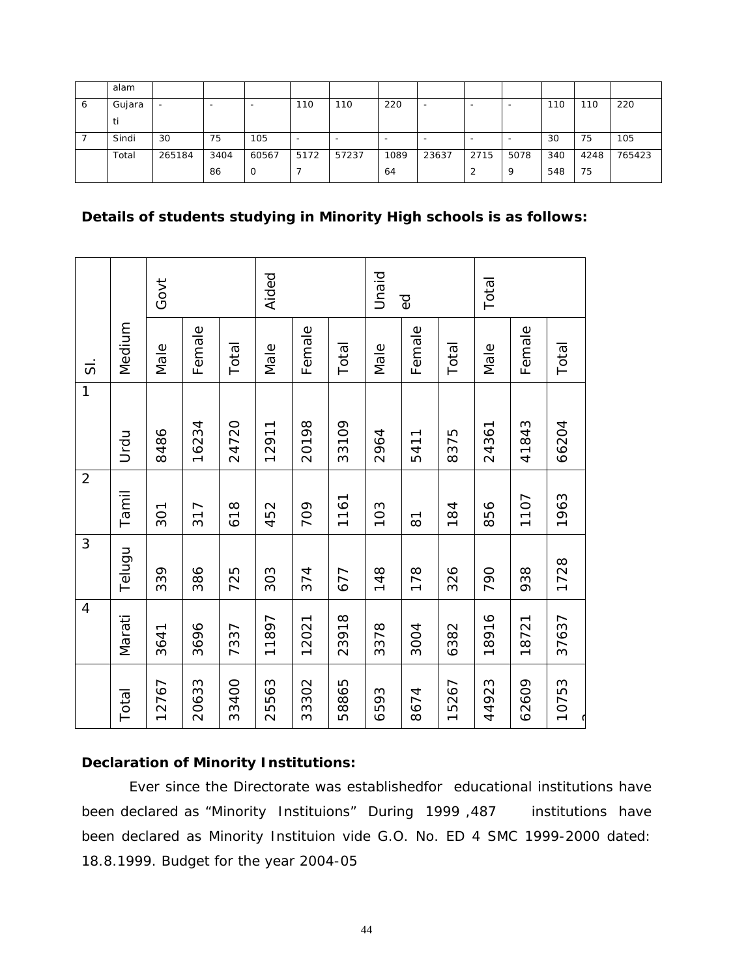|         | alam   |                          |      |       |                          |                          |                          |           |      |      |     |      |        |
|---------|--------|--------------------------|------|-------|--------------------------|--------------------------|--------------------------|-----------|------|------|-----|------|--------|
| $\circ$ | Gujara | $\overline{\phantom{0}}$ | -    | -     | 110                      | 110                      | 220                      | -         |      | ۰    | 110 | 110  | 220    |
|         | u      |                          |      |       |                          |                          |                          |           |      |      |     |      |        |
|         | Sindi  | 30                       | 75   | 105   | $\overline{\phantom{0}}$ | $\overline{\phantom{0}}$ | $\overline{\phantom{0}}$ | <b>11</b> |      | ۰    | 30  | 75   | 105    |
|         | Total  | 265184                   | 3404 | 60567 | 5172                     | 57237                    | 1089                     | 23637     | 2715 | 5078 | 340 | 4248 | 765423 |
|         |        |                          | 86   | J     |                          |                          | 64                       |           |      | Q    | 548 | 75   |        |

## **Details of students studying in Minority High schools is as follows:**

|                     |        | Govt  |        |       | Aided |        |       | Unaid | $\overline{6}$     |       | Total |        |       |
|---------------------|--------|-------|--------|-------|-------|--------|-------|-------|--------------------|-------|-------|--------|-------|
| $\overline{\omega}$ | Medium | Male  | Female | Total | Male  | Female | Total | Male  | Female             | Total | Male  | Female | Total |
| 1                   | Urdu   | 8486  | 16234  | 24720 | 12911 | 20198  | 33109 | 2964  | 5411               | 8375  | 24361 | 41843  | 66204 |
| $\sqrt{2}$          | Tamil  | 301   | 317    | 618   | 452   | 709    | 1161  | 103   | $\overline{\circ}$ | 184   | 856   | 1107   | 1963  |
| 3                   | Telugu | 339   | 386    | 725   | 303   | 374    | 677   | 148   | 178                | 326   | 790   | 938    | 1728  |
| $\overline{4}$      | Marati | 3641  | 3696   | 7337  | 11897 | 12021  | 23918 | 3378  | 3004               | 6382  | 18916 | 18721  | 37637 |
|                     | Total  | 12767 | 20633  | 33400 | 25563 | 33302  | 58865 | 6593  | 8674               | 15267 | 44923 | 62609  | 10753 |

## **Declaration of Minority Institutions:**

 Ever since the Directorate was establishedfor educational institutions have been declared as "Minority Instituions" During 1999,487 institutions have been declared as Minority Instituion vide G.O. No. ED 4 SMC 1999-2000 dated: 18.8.1999. Budget for the year 2004-05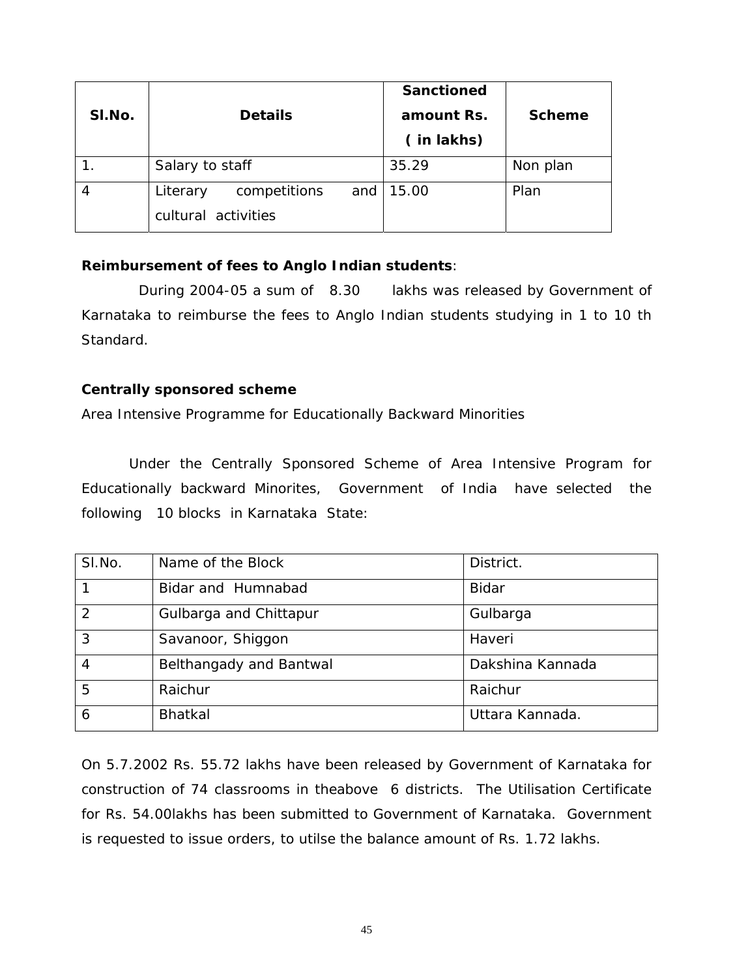| SI.No. | <b>Details</b>                                                 | <b>Sanctioned</b><br>amount Rs.<br>(in lakhs) | <b>Scheme</b> |
|--------|----------------------------------------------------------------|-----------------------------------------------|---------------|
|        | Salary to staff                                                | 35.29                                         | Non plan      |
| 4      | competitions<br>and $\vert$<br>Literary<br>cultural activities | 15.00                                         | Plan          |

## **Reimbursement of fees to Anglo Indian students**:

 During 2004-05 a sum of 8.30 lakhs was released by Government of Karnataka to reimburse the fees to Anglo Indian students studying in 1 to 10 th Standard.

## **Centrally sponsored scheme**

Area Intensive Programme for Educationally Backward Minorities

 Under the Centrally Sponsored Scheme of Area Intensive Program for Educationally backward Minorites, Government of India have selected the following 10 blocks in Karnataka State:

| SI.No. | Name of the Block       | District.        |
|--------|-------------------------|------------------|
|        | Bidar and Humnabad      | <b>Bidar</b>     |
| 2      | Gulbarga and Chittapur  | Gulbarga         |
| 3      | Savanoor, Shiggon       | Haveri           |
| 4      | Belthangady and Bantwal | Dakshina Kannada |
| 5      | Raichur                 | Raichur          |
| 6      | <b>Bhatkal</b>          | Uttara Kannada.  |

On 5.7.2002 Rs. 55.72 lakhs have been released by Government of Karnataka for construction of 74 classrooms in theabove 6 districts. The Utilisation Certificate for Rs. 54.00lakhs has been submitted to Government of Karnataka. Government is requested to issue orders, to utilse the balance amount of Rs. 1.72 lakhs.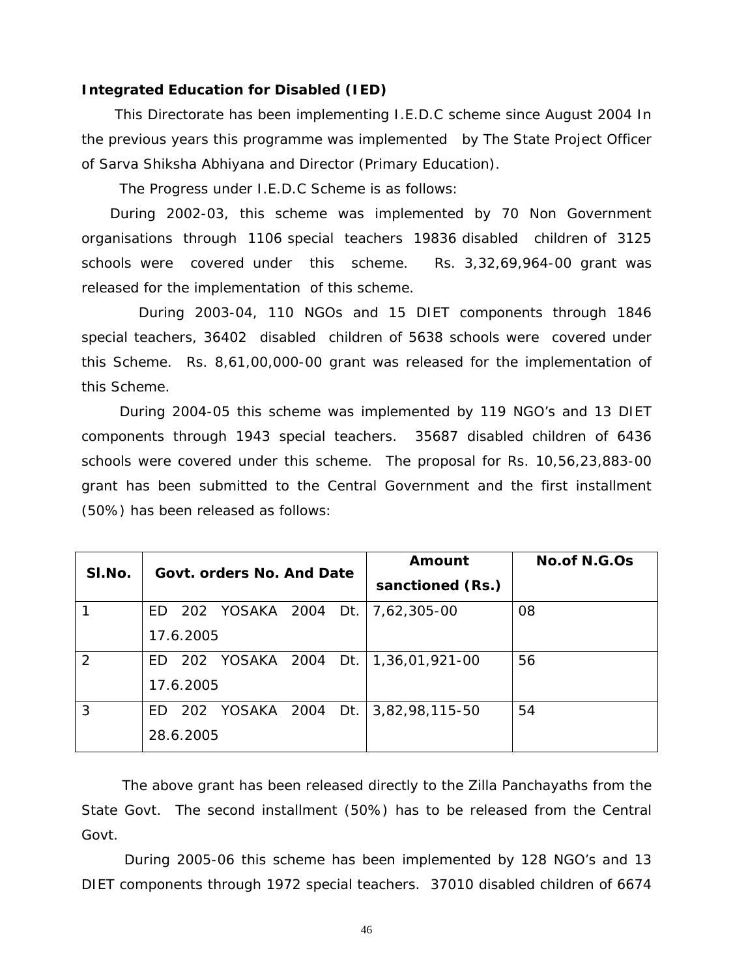#### **Integrated Education for Disabled (IED)**

 This Directorate has been implementing I.E.D.C scheme since August 2004 In the previous years this programme was implemented by The State Project Officer of Sarva Shiksha Abhiyana and Director (Primary Education).

The Progress under I.E.D.C Scheme is as follows:

 During 2002-03, this scheme was implemented by 70 Non Government organisations through 1106 special teachers 19836 disabled children of 3125 schools were covered under this scheme. Rs. 3,32,69,964-00 grant was released for the implementation of this scheme.

 During 2003-04, 110 NGOs and 15 DIET components through 1846 special teachers, 36402 disabled children of 5638 schools were covered under this Scheme. Rs. 8,61,00,000-00 grant was released for the implementation of this Scheme.

 During 2004-05 this scheme was implemented by 119 NGO's and 13 DIET components through 1943 special teachers. 35687 disabled children of 6436 schools were covered under this scheme. The proposal for Rs. 10,56,23,883-00 grant has been submitted to the Central Government and the first installment (50%) has been released as follows:

| SI.No. | Govt. orders No. And Date             | Amount           | <b>No.of N.G.Os</b> |
|--------|---------------------------------------|------------------|---------------------|
|        |                                       | sanctioned (Rs.) |                     |
|        | 202 YOSAKA 2004 Dt.<br>ED.            | 7,62,305-00      | 08                  |
|        | 17.6.2005                             |                  |                     |
| 2      | ED 202 YOSAKA 2004 Dt. 1,36,01,921-00 |                  | 56                  |
|        | 17.6.2005                             |                  |                     |
| 3      | ED 202 YOSAKA 2004 Dt.                | 3,82,98,115-50   | 54                  |
|        | 28.6.2005                             |                  |                     |

The above grant has been released directly to the Zilla Panchayaths from the State Govt. The second installment (50%) has to be released from the Central Govt.

 During 2005-06 this scheme has been implemented by 128 NGO's and 13 DIET components through 1972 special teachers. 37010 disabled children of 6674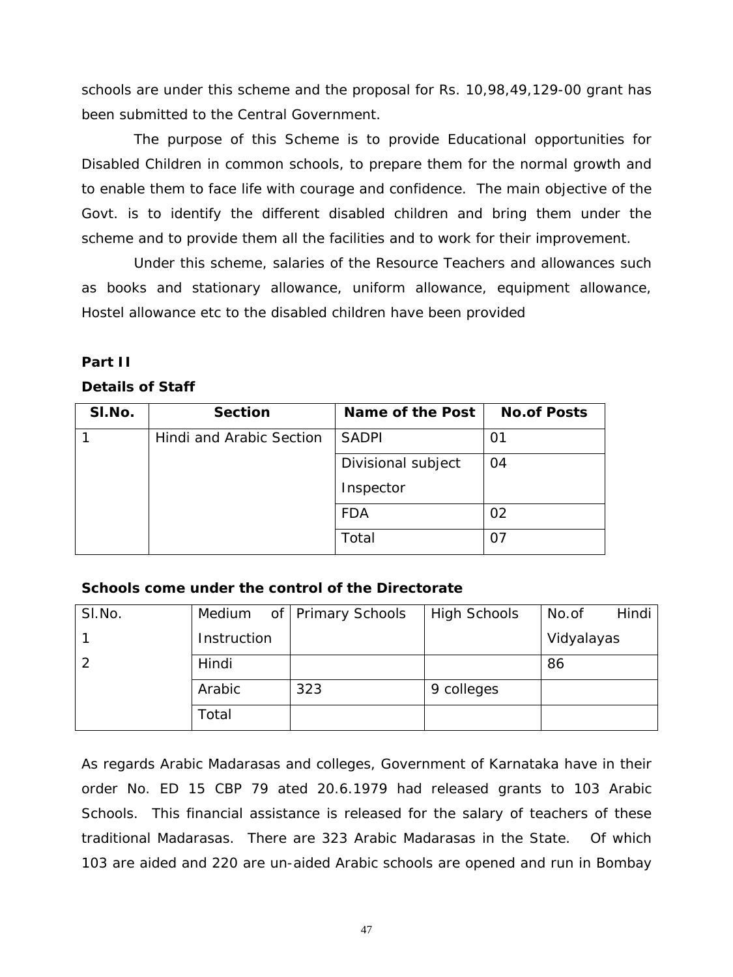schools are under this scheme and the proposal for Rs. 10,98,49,129-00 grant has been submitted to the Central Government.

 The purpose of this Scheme is to provide Educational opportunities for Disabled Children in common schools, to prepare them for the normal growth and to enable them to face life with courage and confidence. The main objective of the Govt. is to identify the different disabled children and bring them under the scheme and to provide them all the facilities and to work for their improvement.

 Under this scheme, salaries of the Resource Teachers and allowances such as books and stationary allowance, uniform allowance, equipment allowance, Hostel allowance etc to the disabled children have been provided

## **Part II**

## **Details of Staff**

| SI.No. | <b>Section</b>                  | Name of the Post   | <b>No.of Posts</b> |
|--------|---------------------------------|--------------------|--------------------|
|        | <b>Hindi and Arabic Section</b> | <b>SADPI</b>       | 01                 |
|        |                                 | Divisional subject | 04                 |
|        |                                 | Inspector          |                    |
|        |                                 | <b>FDA</b>         | 02                 |
|        |                                 | Total              |                    |

## **Schools come under the control of the Directorate**

| SI.No. | Medium      | of   Primary Schools | <b>High Schools</b> | Hindi<br>No.of |
|--------|-------------|----------------------|---------------------|----------------|
|        | Instruction |                      |                     | Vidyalayas     |
|        | Hindi       |                      |                     | 86             |
|        | Arabic      | 323                  | 9 colleges          |                |
|        | Total       |                      |                     |                |

As regards Arabic Madarasas and colleges, Government of Karnataka have in their order No. ED 15 CBP 79 ated 20.6.1979 had released grants to 103 Arabic Schools. This financial assistance is released for the salary of teachers of these traditional Madarasas. There are 323 Arabic Madarasas in the State. Of which 103 are aided and 220 are un-aided Arabic schools are opened and run in Bombay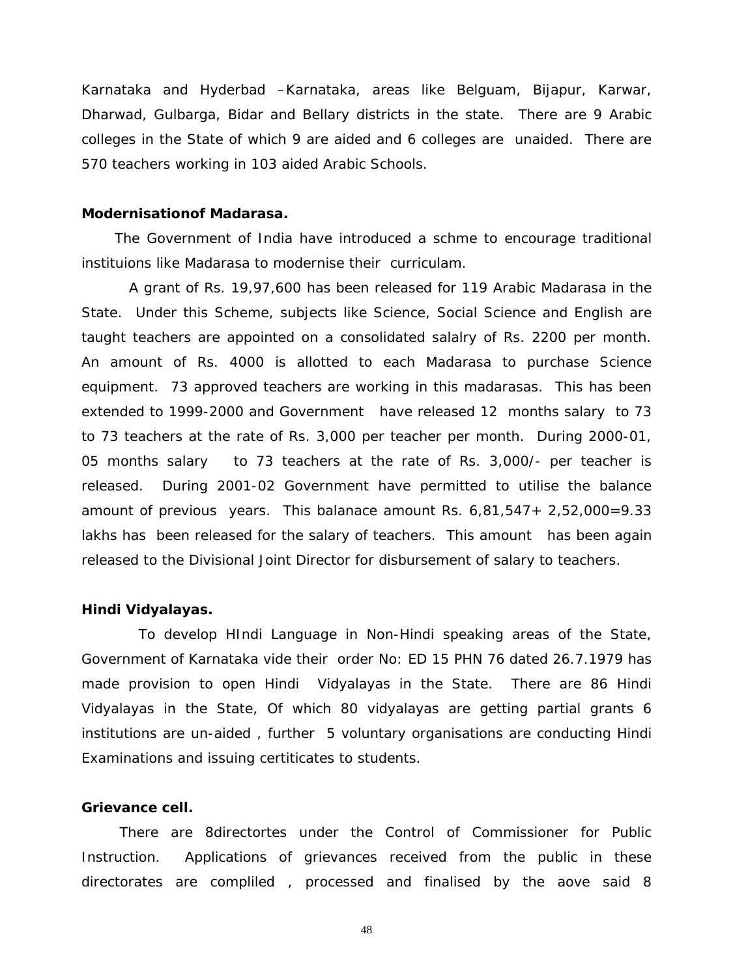Karnataka and Hyderbad –Karnataka, areas like Belguam, Bijapur, Karwar, Dharwad, Gulbarga, Bidar and Bellary districts in the state. There are 9 Arabic colleges in the State of which 9 are aided and 6 colleges are unaided. There are 570 teachers working in 103 aided Arabic Schools.

#### **Modernisationof Madarasa.**

 The Government of India have introduced a schme to encourage traditional instituions like Madarasa to modernise their curriculam.

 A grant of Rs. 19,97,600 has been released for 119 Arabic Madarasa in the State. Under this Scheme, subjects like Science, Social Science and English are taught teachers are appointed on a consolidated salalry of Rs. 2200 per month. An amount of Rs. 4000 is allotted to each Madarasa to purchase Science equipment. 73 approved teachers are working in this madarasas. This has been extended to 1999-2000 and Government have released 12 months salary to 73 to 73 teachers at the rate of Rs. 3,000 per teacher per month. During 2000-01, 05 months salary to 73 teachers at the rate of Rs. 3,000/- per teacher is released. During 2001-02 Government have permitted to utilise the balance amount of previous years. This balanace amount Rs.  $6,81,547+2,52,000=9.33$ lakhs has been released for the salary of teachers. This amount has been again released to the Divisional Joint Director for disbursement of salary to teachers.

#### **Hindi Vidyalayas.**

 To develop HIndi Language in Non-Hindi speaking areas of the State, Government of Karnataka vide their order No: ED 15 PHN 76 dated 26.7.1979 has made provision to open Hindi Vidyalayas in the State. There are 86 Hindi Vidyalayas in the State, Of which 80 vidyalayas are getting partial grants 6 institutions are un-aided , further 5 voluntary organisations are conducting Hindi Examinations and issuing certiticates to students.

#### **Grievance cell.**

 There are 8directortes under the Control of Commissioner for Public Instruction. Applications of grievances received from the public in these directorates are compliled , processed and finalised by the aove said 8